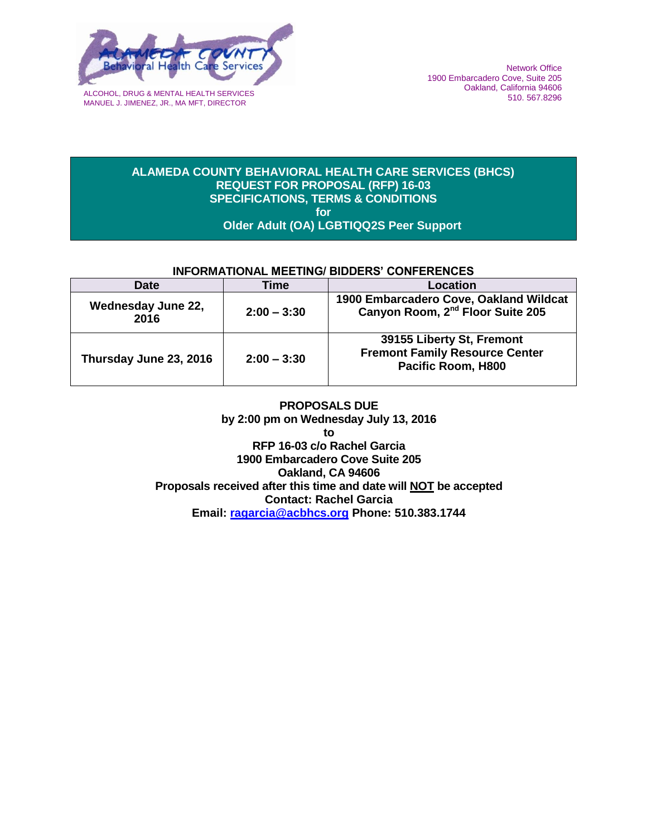

MANUEL J. JIMENEZ, JR., MA MFT, DIRECTOR

#### **ALAMEDA COUNTY BEHAVIORAL HEALTH CARE SERVICES (BHCS) REQUEST FOR PROPOSAL (RFP) 16-03 SPECIFICATIONS, TERMS & CONDITIONS for Older Adult (OA) LGBTIQQ2S Peer Support**

## **INFORMATIONAL MEETING/ BIDDERS' CONFERENCES**

| <b>Date</b>                | Time          | Location                                                                                 |
|----------------------------|---------------|------------------------------------------------------------------------------------------|
| Wednesday June 22,<br>2016 | $2:00 - 3:30$ | 1900 Embarcadero Cove, Oakland Wildcat<br>Canyon Room, 2 <sup>nd</sup> Floor Suite 205   |
| Thursday June 23, 2016     | $2:00 - 3:30$ | 39155 Liberty St, Fremont<br><b>Fremont Family Resource Center</b><br>Pacific Room, H800 |

**PROPOSALS DUE by 2:00 pm on Wednesday July 13, 2016 to RFP 16-03 c/o Rachel Garcia 1900 Embarcadero Cove Suite 205 Oakland, CA 94606 Proposals received after this time and date will NOT be accepted Contact: Rachel Garcia Email: ragarcia@acbhcs.org Phone: 510.383.1744**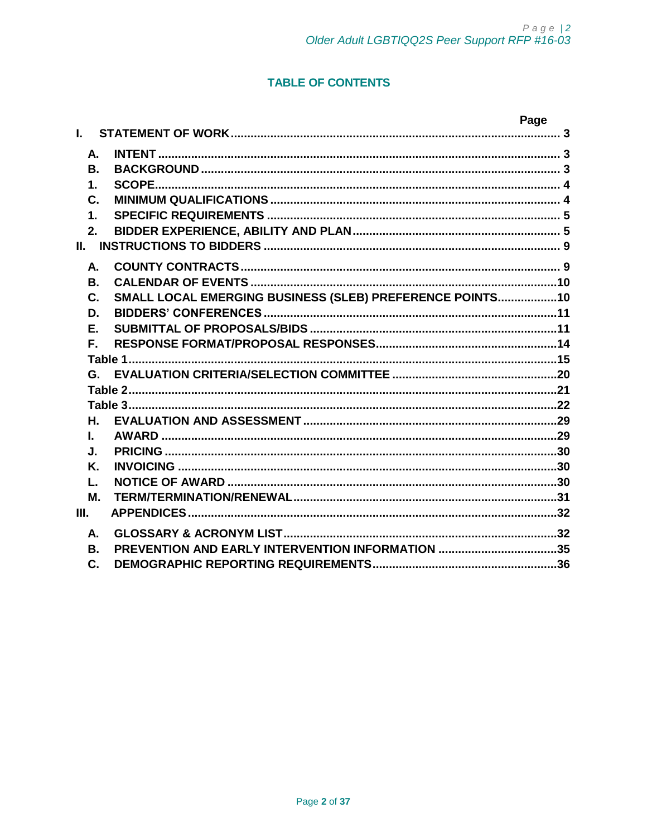# **TABLE OF CONTENTS**

|                |                                                          | Page |
|----------------|----------------------------------------------------------|------|
| L.             |                                                          |      |
| А.             |                                                          |      |
| В.             |                                                          |      |
| 1.             |                                                          |      |
| $\mathbf{C}$ . |                                                          |      |
| $\mathbf 1$    |                                                          |      |
| 2.             |                                                          |      |
| II.            |                                                          |      |
| А.             |                                                          |      |
| В.             |                                                          |      |
| C.             | SMALL LOCAL EMERGING BUSINESS (SLEB) PREFERENCE POINTS10 |      |
| D.             |                                                          |      |
| Ε.             |                                                          |      |
| F.             |                                                          |      |
|                |                                                          |      |
|                |                                                          |      |
|                |                                                          |      |
|                |                                                          |      |
| Η.             |                                                          |      |
| L.             |                                                          |      |
| J.             |                                                          |      |
| Κ.<br>L.       |                                                          |      |
| М.             |                                                          |      |
| Ш.             |                                                          |      |
|                |                                                          |      |
| А.             |                                                          |      |
| В.             | PREVENTION AND EARLY INTERVENTION INFORMATION 35         |      |
| C.             |                                                          |      |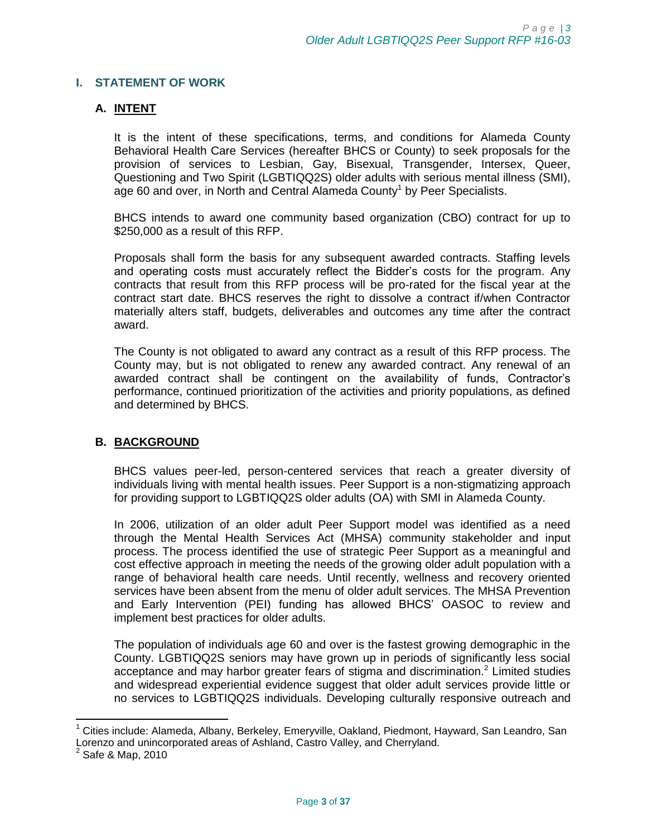#### <span id="page-2-1"></span><span id="page-2-0"></span>**I. STATEMENT OF WORK**

#### **A. INTENT**

It is the intent of these specifications, terms, and conditions for Alameda County Behavioral Health Care Services (hereafter BHCS or County) to seek proposals for the provision of services to Lesbian, Gay, Bisexual, Transgender, Intersex, Queer, Questioning and Two Spirit (LGBTIQQ2S) older adults with serious mental illness (SMI), age 60 and over, in North and Central Alameda County<sup>1</sup> by Peer Specialists.

BHCS intends to award one community based organization (CBO) contract for up to \$250,000 as a result of this RFP.

Proposals shall form the basis for any subsequent awarded contracts. Staffing levels and operating costs must accurately reflect the Bidder's costs for the program. Any contracts that result from this RFP process will be pro-rated for the fiscal year at the contract start date. BHCS reserves the right to dissolve a contract if/when Contractor materially alters staff, budgets, deliverables and outcomes any time after the contract award.

The County is not obligated to award any contract as a result of this RFP process. The County may, but is not obligated to renew any awarded contract. Any renewal of an awarded contract shall be contingent on the availability of funds, Contractor's performance, continued prioritization of the activities and priority populations, as defined and determined by BHCS.

#### <span id="page-2-2"></span>**B. BACKGROUND**

BHCS values peer-led, person-centered services that reach a greater diversity of individuals living with mental health issues. Peer Support is a non-stigmatizing approach for providing support to LGBTIQQ2S older adults (OA) with SMI in Alameda County.

In 2006, utilization of an older adult Peer Support model was identified as a need through the Mental Health Services Act (MHSA) community stakeholder and input process. The process identified the use of strategic Peer Support as a meaningful and cost effective approach in meeting the needs of the growing older adult population with a range of behavioral health care needs. Until recently, wellness and recovery oriented services have been absent from the menu of older adult services. The MHSA Prevention and Early Intervention (PEI) funding has allowed BHCS' OASOC to review and implement best practices for older adults.

The population of individuals age 60 and over is the fastest growing demographic in the County. LGBTIQQ2S seniors may have grown up in periods of significantly less social acceptance and may harbor greater fears of stigma and discrimination.<sup>2</sup> Limited studies and widespread experiential evidence suggest that older adult services provide little or no services to LGBTIQQ2S individuals. Developing culturally responsive outreach and

 $\overline{a}$ 

<sup>1</sup> Cities include: Alameda, Albany, Berkeley, Emeryville, Oakland, Piedmont, Hayward, San Leandro, San Lorenzo and unincorporated areas of Ashland, Castro Valley, and Cherryland.<br><sup>2</sup> Sefa & Man. 2010

Safe & Map, 2010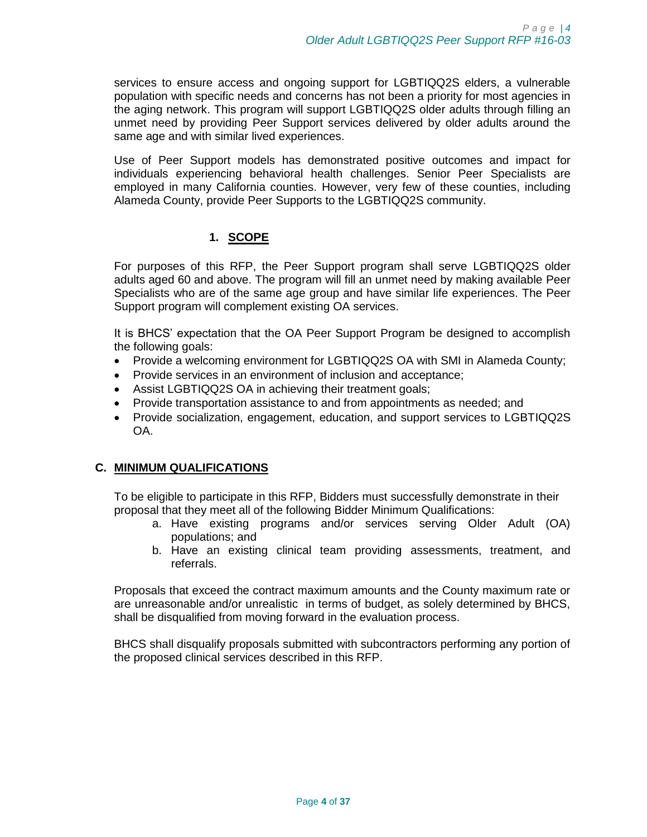services to ensure access and ongoing support for LGBTIQQ2S elders, a vulnerable population with specific needs and concerns has not been a priority for most agencies in the aging network. This program will support LGBTIQQ2S older adults through filling an unmet need by providing Peer Support services delivered by older adults around the same age and with similar lived experiences.

Use of Peer Support models has demonstrated positive outcomes and impact for individuals experiencing behavioral health challenges. Senior Peer Specialists are employed in many California counties. However, very few of these counties, including Alameda County, provide Peer Supports to the LGBTIQQ2S community.

# **1. SCOPE**

<span id="page-3-0"></span>For purposes of this RFP, the Peer Support program shall serve LGBTIQQ2S older adults aged 60 and above. The program will fill an unmet need by making available Peer Specialists who are of the same age group and have similar life experiences. The Peer Support program will complement existing OA services.

It is BHCS' expectation that the OA Peer Support Program be designed to accomplish the following goals:

- Provide a welcoming environment for LGBTIQQ2S OA with SMI in Alameda County;
- Provide services in an environment of inclusion and acceptance;
- Assist LGBTIQQ2S OA in achieving their treatment goals;
- Provide transportation assistance to and from appointments as needed; and
- Provide socialization, engagement, education, and support services to LGBTIQQ2S OA.

## <span id="page-3-1"></span>**C. MINIMUM QUALIFICATIONS**

To be eligible to participate in this RFP, Bidders must successfully demonstrate in their proposal that they meet all of the following Bidder Minimum Qualifications:

- a. Have existing programs and/or services serving Older Adult (OA) populations; and
- b. Have an existing clinical team providing assessments, treatment, and referrals.

Proposals that exceed the contract maximum amounts and the County maximum rate or are unreasonable and/or unrealistic in terms of budget, as solely determined by BHCS, shall be disqualified from moving forward in the evaluation process.

BHCS shall disqualify proposals submitted with subcontractors performing any portion of the proposed clinical services described in this RFP.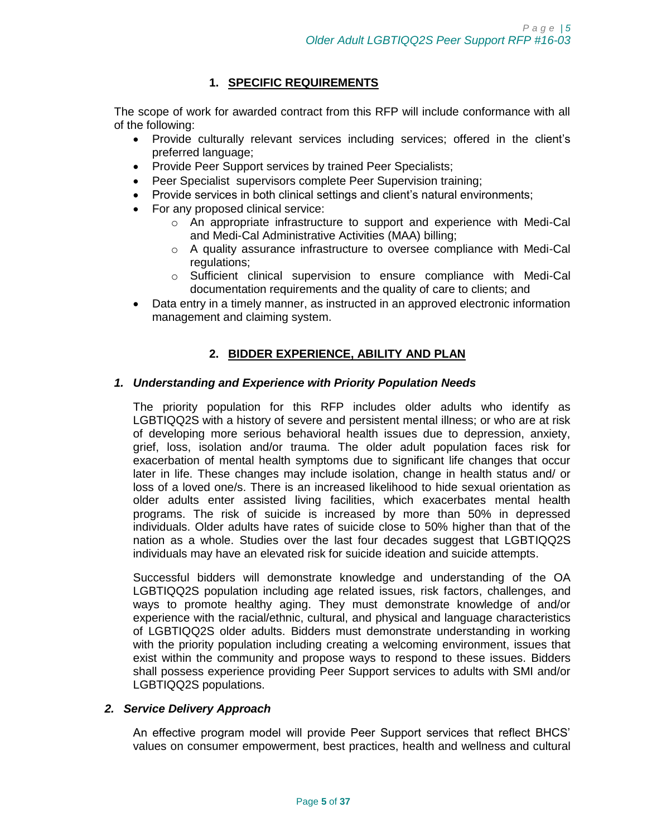# **1. SPECIFIC REQUIREMENTS**

<span id="page-4-0"></span>The scope of work for awarded contract from this RFP will include conformance with all of the following:

- Provide culturally relevant services including services; offered in the client's preferred language;
- Provide Peer Support services by trained Peer Specialists;
- Peer Specialist supervisors complete Peer Supervision training;
- Provide services in both clinical settings and client's natural environments;
- For any proposed clinical service:
	- $\circ$  An appropriate infrastructure to support and experience with Medi-Cal and Medi-Cal Administrative Activities (MAA) billing;
	- o A quality assurance infrastructure to oversee compliance with Medi-Cal regulations;
	- o Sufficient clinical supervision to ensure compliance with Medi-Cal documentation requirements and the quality of care to clients; and
- Data entry in a timely manner, as instructed in an approved electronic information management and claiming system.

# **2. BIDDER EXPERIENCE, ABILITY AND PLAN**

#### <span id="page-4-1"></span>*1. Understanding and Experience with Priority Population Needs*

The priority population for this RFP includes older adults who identify as LGBTIQQ2S with a history of severe and persistent mental illness; or who are at risk of developing more serious behavioral health issues due to depression, anxiety, grief, loss, isolation and/or trauma. The older adult population faces risk for exacerbation of mental health symptoms due to significant life changes that occur later in life. These changes may include isolation, change in health status and/ or loss of a loved one/s. There is an increased likelihood to hide sexual orientation as older adults enter assisted living facilities, which exacerbates mental health programs. The risk of suicide is increased by more than 50% in depressed individuals. Older adults have rates of suicide close to 50% higher than that of the nation as a whole. Studies over the last four decades suggest that LGBTIQQ2S individuals may have an elevated risk for suicide ideation and suicide attempts.

Successful bidders will demonstrate knowledge and understanding of the OA LGBTIQQ2S population including age related issues, risk factors, challenges, and ways to promote healthy aging. They must demonstrate knowledge of and/or experience with the racial/ethnic, cultural, and physical and language characteristics of LGBTIQQ2S older adults. Bidders must demonstrate understanding in working with the priority population including creating a welcoming environment, issues that exist within the community and propose ways to respond to these issues. Bidders shall possess experience providing Peer Support services to adults with SMI and/or LGBTIQQ2S populations.

#### *2. Service Delivery Approach*

An effective program model will provide Peer Support services that reflect BHCS' values on consumer empowerment, best practices, health and wellness and cultural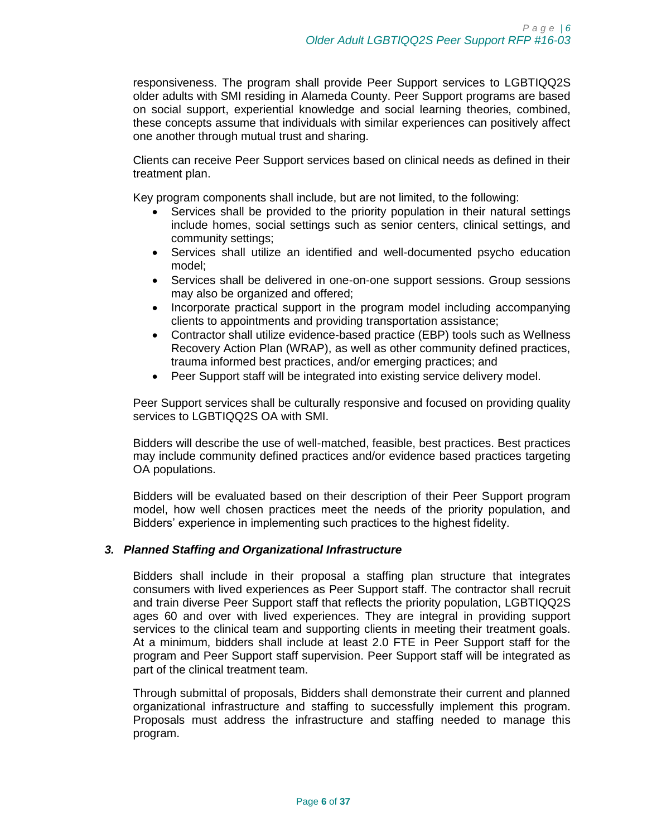responsiveness. The program shall provide Peer Support services to LGBTIQQ2S older adults with SMI residing in Alameda County. Peer Support programs are based on social support, experiential knowledge and social learning theories, combined, these concepts assume that individuals with similar experiences can positively affect one another through mutual trust and sharing.

Clients can receive Peer Support services based on clinical needs as defined in their treatment plan.

Key program components shall include, but are not limited, to the following:

- Services shall be provided to the priority population in their natural settings include homes, social settings such as senior centers, clinical settings, and community settings;
- Services shall utilize an identified and well-documented psycho education model;
- Services shall be delivered in one-on-one support sessions. Group sessions may also be organized and offered;
- Incorporate practical support in the program model including accompanying clients to appointments and providing transportation assistance;
- Contractor shall utilize evidence-based practice (EBP) tools such as Wellness Recovery Action Plan (WRAP), as well as other community defined practices, trauma informed best practices, and/or emerging practices; and
- Peer Support staff will be integrated into existing service delivery model.

Peer Support services shall be culturally responsive and focused on providing quality services to LGBTIQQ2S OA with SMI.

Bidders will describe the use of well-matched, feasible, best practices. Best practices may include community defined practices and/or evidence based practices targeting OA populations.

Bidders will be evaluated based on their description of their Peer Support program model, how well chosen practices meet the needs of the priority population, and Bidders' experience in implementing such practices to the highest fidelity.

#### *3. Planned Staffing and Organizational Infrastructure*

Bidders shall include in their proposal a staffing plan structure that integrates consumers with lived experiences as Peer Support staff. The contractor shall recruit and train diverse Peer Support staff that reflects the priority population, LGBTIQQ2S ages 60 and over with lived experiences. They are integral in providing support services to the clinical team and supporting clients in meeting their treatment goals. At a minimum, bidders shall include at least 2.0 FTE in Peer Support staff for the program and Peer Support staff supervision. Peer Support staff will be integrated as part of the clinical treatment team.

Through submittal of proposals, Bidders shall demonstrate their current and planned organizational infrastructure and staffing to successfully implement this program. Proposals must address the infrastructure and staffing needed to manage this program.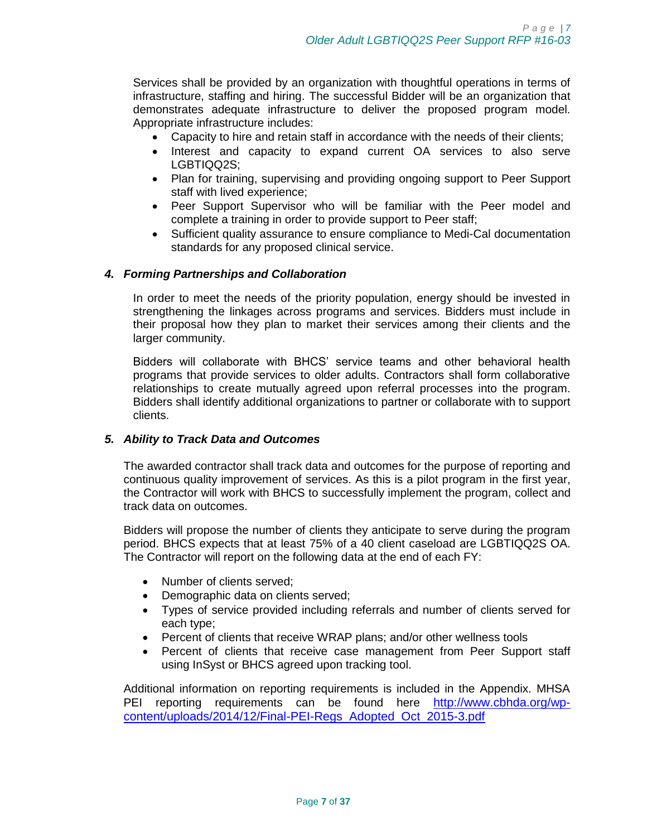Services shall be provided by an organization with thoughtful operations in terms of infrastructure, staffing and hiring. The successful Bidder will be an organization that demonstrates adequate infrastructure to deliver the proposed program model. Appropriate infrastructure includes:

- Capacity to hire and retain staff in accordance with the needs of their clients;
- Interest and capacity to expand current OA services to also serve LGBTIQQ2S:
- Plan for training, supervising and providing ongoing support to Peer Support staff with lived experience;
- Peer Support Supervisor who will be familiar with the Peer model and complete a training in order to provide support to Peer staff;
- Sufficient quality assurance to ensure compliance to Medi-Cal documentation standards for any proposed clinical service.

#### *4. Forming Partnerships and Collaboration*

In order to meet the needs of the priority population, energy should be invested in strengthening the linkages across programs and services. Bidders must include in their proposal how they plan to market their services among their clients and the larger community.

Bidders will collaborate with BHCS' service teams and other behavioral health programs that provide services to older adults. Contractors shall form collaborative relationships to create mutually agreed upon referral processes into the program. Bidders shall identify additional organizations to partner or collaborate with to support clients.

#### *5. Ability to Track Data and Outcomes*

The awarded contractor shall track data and outcomes for the purpose of reporting and continuous quality improvement of services. As this is a pilot program in the first year, the Contractor will work with BHCS to successfully implement the program, collect and track data on outcomes.

Bidders will propose the number of clients they anticipate to serve during the program period. BHCS expects that at least 75% of a 40 client caseload are LGBTIQQ2S OA. The Contractor will report on the following data at the end of each FY:

- Number of clients served;
- Demographic data on clients served;
- Types of service provided including referrals and number of clients served for each type;
- Percent of clients that receive WRAP plans; and/or other wellness tools
- Percent of clients that receive case management from Peer Support staff using InSyst or BHCS agreed upon tracking tool.

Additional information on reporting requirements is included in the Appendix. MHSA PEI reporting requirements can be found here [http://www.cbhda.org/wp](http://www.cbhda.org/wp-content/uploads/2014/12/Final-PEI-Regs_Adopted_Oct_2015-3.pdf)[content/uploads/2014/12/Final-PEI-Regs\\_Adopted\\_Oct\\_2015-3.pdf](http://www.cbhda.org/wp-content/uploads/2014/12/Final-PEI-Regs_Adopted_Oct_2015-3.pdf)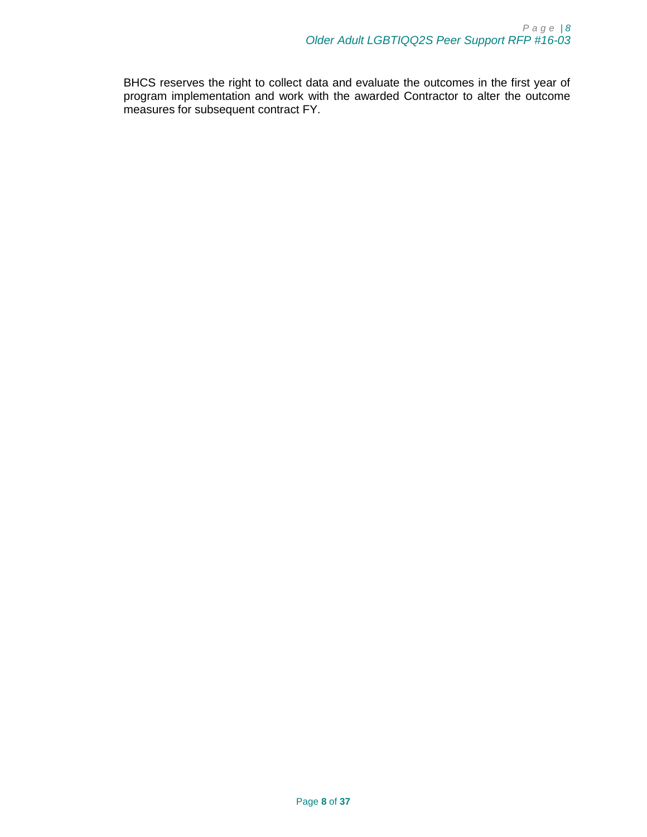BHCS reserves the right to collect data and evaluate the outcomes in the first year of program implementation and work with the awarded Contractor to alter the outcome measures for subsequent contract FY.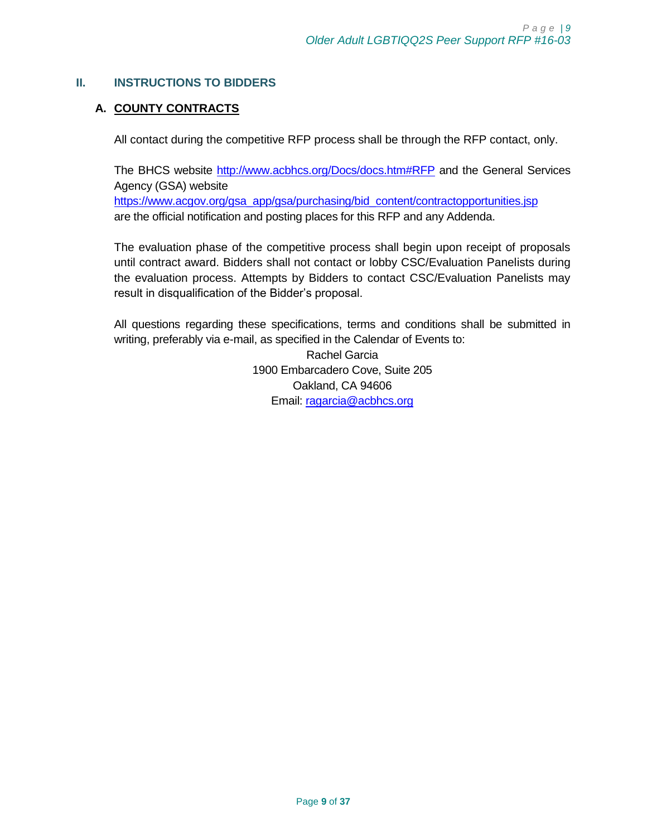# <span id="page-8-1"></span><span id="page-8-0"></span>**II. INSTRUCTIONS TO BIDDERS**

# **A. COUNTY CONTRACTS**

All contact during the competitive RFP process shall be through the RFP contact, only.

The BHCS website<http://www.acbhcs.org/Docs/docs.htm#RFP> and the General Services Agency (GSA) website [https://www.acgov.org/gsa\\_app/gsa/purchasing/bid\\_content/contractopportunities.jsp](https://www.acgov.org/gsa_app/gsa/purchasing/bid_content/contractopportunities.jsp) are the official notification and posting places for this RFP and any Addenda.

The evaluation phase of the competitive process shall begin upon receipt of proposals until contract award. Bidders shall not contact or lobby CSC/Evaluation Panelists during the evaluation process. Attempts by Bidders to contact CSC/Evaluation Panelists may result in disqualification of the Bidder's proposal.

All questions regarding these specifications, terms and conditions shall be submitted in writing, preferably via e-mail, as specified in the Calendar of Events to:

> Rachel Garcia 1900 Embarcadero Cove, Suite 205 Oakland, CA 94606 Email: [ragarcia@acbhcs.org](mailto:ragarcia@acbhcs.org)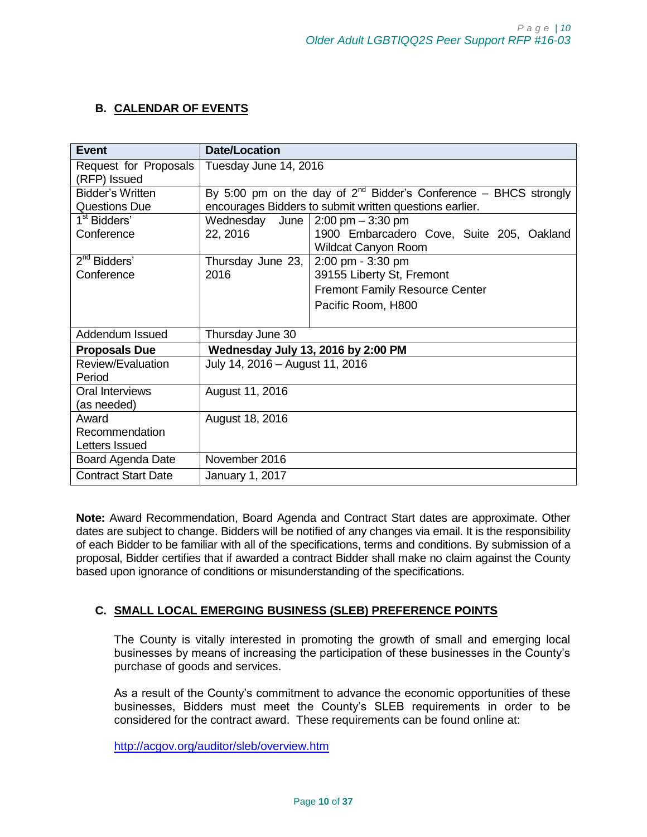# <span id="page-9-0"></span>**B. CALENDAR OF EVENTS**

| <b>Event</b>               | <b>Date/Location</b>               |                                                                         |
|----------------------------|------------------------------------|-------------------------------------------------------------------------|
| Request for Proposals      | Tuesday June 14, 2016              |                                                                         |
| (RFP) Issued               |                                    |                                                                         |
| <b>Bidder's Written</b>    |                                    | By 5:00 pm on the day of $2^{nd}$ Bidder's Conference – BHCS strongly   |
| <b>Questions Due</b>       |                                    | encourages Bidders to submit written questions earlier.                 |
| 1 <sup>st</sup> Bidders'   | Wednesday<br>June                  | $2:00 \text{ pm} - 3:30 \text{ pm}$                                     |
| Conference                 | 22, 2016                           | 1900 Embarcadero Cove, Suite 205, Oakland<br><b>Wildcat Canyon Room</b> |
| $2nd$ Bidders'             | Thursday June 23,                  | 2:00 pm - 3:30 pm                                                       |
| Conference                 | 2016                               | 39155 Liberty St, Fremont                                               |
|                            |                                    | <b>Fremont Family Resource Center</b>                                   |
|                            |                                    | Pacific Room, H800                                                      |
|                            |                                    |                                                                         |
| Addendum Issued            | Thursday June 30                   |                                                                         |
| <b>Proposals Due</b>       | Wednesday July 13, 2016 by 2:00 PM |                                                                         |
| Review/Evaluation          | July 14, 2016 - August 11, 2016    |                                                                         |
| Period                     |                                    |                                                                         |
| Oral Interviews            | August 11, 2016                    |                                                                         |
| (as needed)                |                                    |                                                                         |
| Award                      | August 18, 2016                    |                                                                         |
| Recommendation             |                                    |                                                                         |
| Letters Issued             |                                    |                                                                         |
| Board Agenda Date          | November 2016                      |                                                                         |
| <b>Contract Start Date</b> | <b>January 1, 2017</b>             |                                                                         |

**Note:** Award Recommendation, Board Agenda and Contract Start dates are approximate. Other dates are subject to change. Bidders will be notified of any changes via email. It is the responsibility of each Bidder to be familiar with all of the specifications, terms and conditions. By submission of a proposal, Bidder certifies that if awarded a contract Bidder shall make no claim against the County based upon ignorance of conditions or misunderstanding of the specifications.

## <span id="page-9-1"></span>**C. SMALL LOCAL EMERGING BUSINESS (SLEB) PREFERENCE POINTS**

The County is vitally interested in promoting the growth of small and emerging local businesses by means of increasing the participation of these businesses in the County's purchase of goods and services.

As a result of the County's commitment to advance the economic opportunities of these businesses, Bidders must meet the County's SLEB requirements in order to be considered for the contract award. These requirements can be found online at:

<http://acgov.org/auditor/sleb/overview.htm>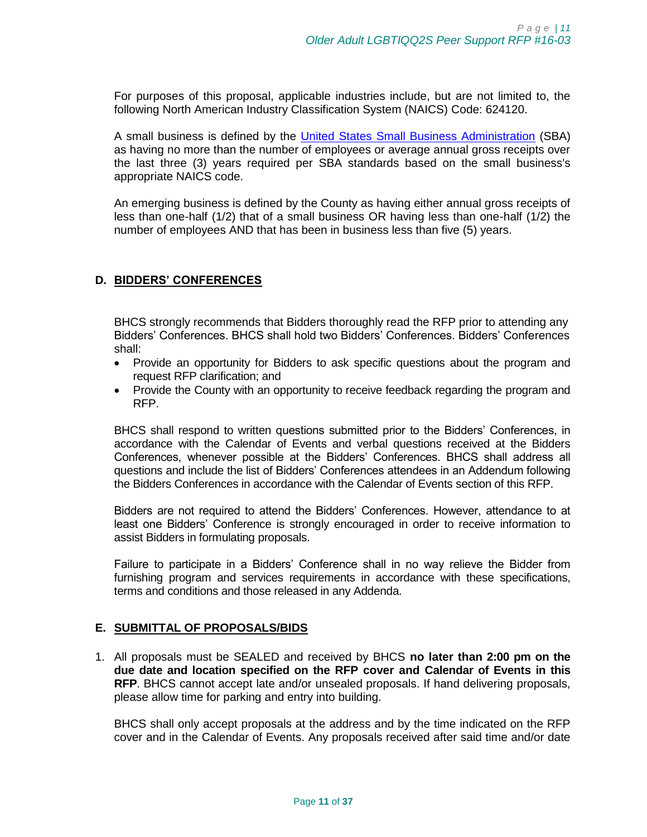For purposes of this proposal, applicable industries include, but are not limited to, the following North American Industry Classification System (NAICS) Code: 624120.

A small business is defined by the [United States Small Business Administration](http://www.sba.gov/) (SBA) as having no more than the number of employees or average annual gross receipts over the last three (3) years required per SBA standards based on the small business's appropriate NAICS code.

An emerging business is defined by the County as having either annual gross receipts of less than one-half (1/2) that of a small business OR having less than one-half (1/2) the number of employees AND that has been in business less than five (5) years.

#### <span id="page-10-0"></span>**D. BIDDERS' CONFERENCES**

BHCS strongly recommends that Bidders thoroughly read the RFP prior to attending any Bidders' Conferences. BHCS shall hold two Bidders' Conferences. Bidders' Conferences shall:

- Provide an opportunity for Bidders to ask specific questions about the program and request RFP clarification; and
- Provide the County with an opportunity to receive feedback regarding the program and RFP.

BHCS shall respond to written questions submitted prior to the Bidders' Conferences, in accordance with the Calendar of Events and verbal questions received at the Bidders Conferences, whenever possible at the Bidders' Conferences. BHCS shall address all questions and include the list of Bidders' Conferences attendees in an Addendum following the Bidders Conferences in accordance with the Calendar of Events section of this RFP.

Bidders are not required to attend the Bidders' Conferences. However, attendance to at least one Bidders' Conference is strongly encouraged in order to receive information to assist Bidders in formulating proposals.

Failure to participate in a Bidders' Conference shall in no way relieve the Bidder from furnishing program and services requirements in accordance with these specifications, terms and conditions and those released in any Addenda.

#### <span id="page-10-1"></span>**E. SUBMITTAL OF PROPOSALS/BIDS**

1. All proposals must be SEALED and received by BHCS **no later than 2:00 pm on the due date and location specified on the RFP cover and Calendar of Events in this RFP**. BHCS cannot accept late and/or unsealed proposals. If hand delivering proposals, please allow time for parking and entry into building.

BHCS shall only accept proposals at the address and by the time indicated on the RFP cover and in the Calendar of Events. Any proposals received after said time and/or date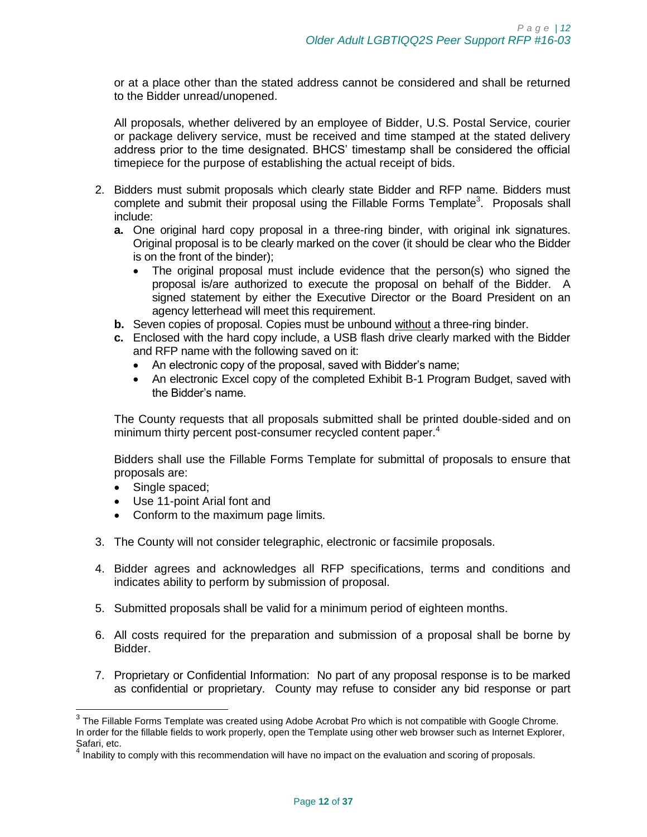or at a place other than the stated address cannot be considered and shall be returned to the Bidder unread/unopened.

All proposals, whether delivered by an employee of Bidder, U.S. Postal Service, courier or package delivery service, must be received and time stamped at the stated delivery address prior to the time designated. BHCS' timestamp shall be considered the official timepiece for the purpose of establishing the actual receipt of bids.

- 2. Bidders must submit proposals which clearly state Bidder and RFP name. Bidders must complete and submit their proposal using the Fillable Forms Template<sup>3</sup>. Proposals shall include:
	- **a.** One original hard copy proposal in a three-ring binder, with original ink signatures. Original proposal is to be clearly marked on the cover (it should be clear who the Bidder is on the front of the binder);
		- The original proposal must include evidence that the person(s) who signed the proposal is/are authorized to execute the proposal on behalf of the Bidder. A signed statement by either the Executive Director or the Board President on an agency letterhead will meet this requirement.
	- **b.** Seven copies of proposal. Copies must be unbound without a three-ring binder.
	- **c.** Enclosed with the hard copy include, a USB flash drive clearly marked with the Bidder and RFP name with the following saved on it:
		- An electronic copy of the proposal, saved with Bidder's name;
		- An electronic Excel copy of the completed Exhibit B-1 Program Budget, saved with the Bidder's name.

The County requests that all proposals submitted shall be printed double-sided and on minimum thirty percent post-consumer recycled content paper.<sup>4</sup>

Bidders shall use the Fillable Forms Template for submittal of proposals to ensure that proposals are:

• Single spaced;

- Use 11-point Arial font and
- Conform to the maximum page limits.
- 3. The County will not consider telegraphic, electronic or facsimile proposals.
- 4. Bidder agrees and acknowledges all RFP specifications, terms and conditions and indicates ability to perform by submission of proposal.
- 5. Submitted proposals shall be valid for a minimum period of eighteen months.
- 6. All costs required for the preparation and submission of a proposal shall be borne by Bidder.
- 7. Proprietary or Confidential Information: No part of any proposal response is to be marked as confidential or proprietary. County may refuse to consider any bid response or part

 $^3$  The Fillable Forms Template was created using Adobe Acrobat Pro which is not compatible with Google Chrome. In order for the fillable fields to work properly, open the Template using other web browser such as Internet Explorer, Safari, etc.<br><sup>4</sup> Inchilituti

Inability to comply with this recommendation will have no impact on the evaluation and scoring of proposals.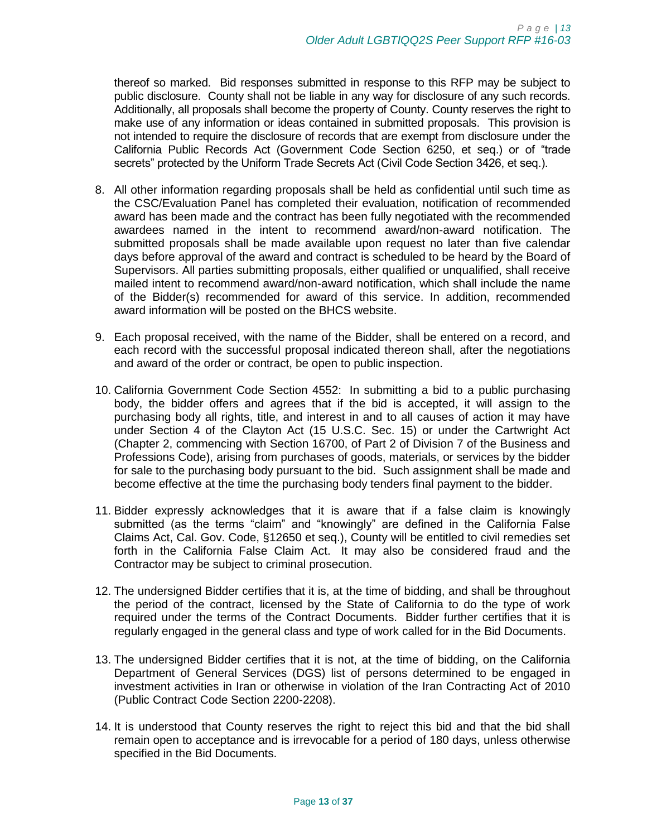thereof so marked. Bid responses submitted in response to this RFP may be subject to public disclosure. County shall not be liable in any way for disclosure of any such records. Additionally, all proposals shall become the property of County. County reserves the right to make use of any information or ideas contained in submitted proposals. This provision is not intended to require the disclosure of records that are exempt from disclosure under the California Public Records Act (Government Code Section 6250, et seq.) or of "trade secrets" protected by the Uniform Trade Secrets Act (Civil Code Section 3426, et seq.).

- 8. All other information regarding proposals shall be held as confidential until such time as the CSC/Evaluation Panel has completed their evaluation, notification of recommended award has been made and the contract has been fully negotiated with the recommended awardees named in the intent to recommend award/non-award notification. The submitted proposals shall be made available upon request no later than five calendar days before approval of the award and contract is scheduled to be heard by the Board of Supervisors. All parties submitting proposals, either qualified or unqualified, shall receive mailed intent to recommend award/non-award notification, which shall include the name of the Bidder(s) recommended for award of this service. In addition, recommended award information will be posted on the BHCS website.
- 9. Each proposal received, with the name of the Bidder, shall be entered on a record, and each record with the successful proposal indicated thereon shall, after the negotiations and award of the order or contract, be open to public inspection.
- 10. California Government Code Section 4552: In submitting a bid to a public purchasing body, the bidder offers and agrees that if the bid is accepted, it will assign to the purchasing body all rights, title, and interest in and to all causes of action it may have under Section 4 of the Clayton Act (15 U.S.C. Sec. 15) or under the Cartwright Act (Chapter 2, commencing with Section 16700, of Part 2 of Division 7 of the Business and Professions Code), arising from purchases of goods, materials, or services by the bidder for sale to the purchasing body pursuant to the bid. Such assignment shall be made and become effective at the time the purchasing body tenders final payment to the bidder.
- 11. Bidder expressly acknowledges that it is aware that if a false claim is knowingly submitted (as the terms "claim" and "knowingly" are defined in the California False Claims Act, Cal. Gov. Code, §12650 et seq.), County will be entitled to civil remedies set forth in the California False Claim Act. It may also be considered fraud and the Contractor may be subject to criminal prosecution.
- 12. The undersigned Bidder certifies that it is, at the time of bidding, and shall be throughout the period of the contract, licensed by the State of California to do the type of work required under the terms of the Contract Documents. Bidder further certifies that it is regularly engaged in the general class and type of work called for in the Bid Documents.
- 13. The undersigned Bidder certifies that it is not, at the time of bidding, on the California Department of General Services (DGS) list of persons determined to be engaged in investment activities in Iran or otherwise in violation of the Iran Contracting Act of 2010 (Public Contract Code Section 2200-2208).
- 14. It is understood that County reserves the right to reject this bid and that the bid shall remain open to acceptance and is irrevocable for a period of 180 days, unless otherwise specified in the Bid Documents.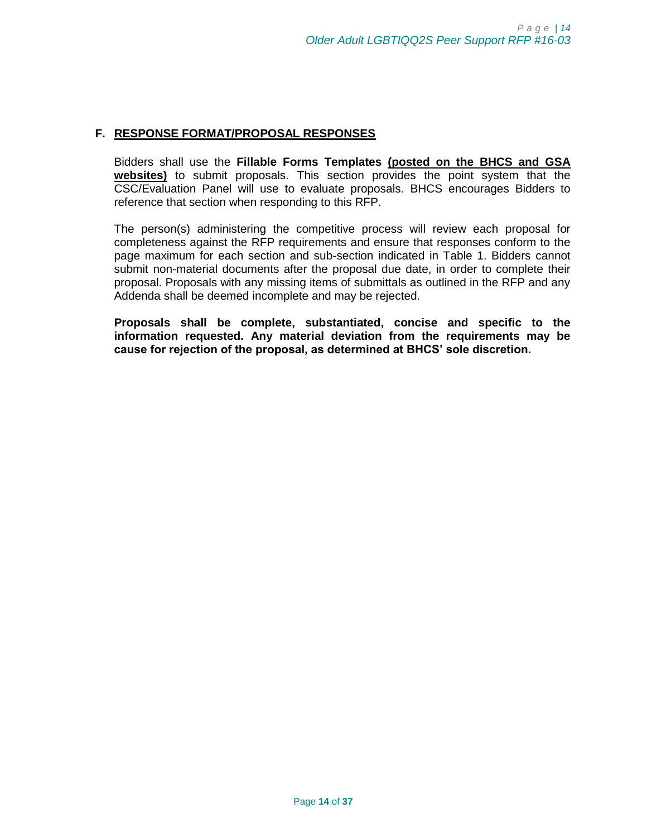#### <span id="page-13-0"></span>**F. RESPONSE FORMAT/PROPOSAL RESPONSES**

Bidders shall use the **Fillable Forms Templates (posted on the BHCS and GSA websites)** to submit proposals. This section provides the point system that the CSC/Evaluation Panel will use to evaluate proposals. BHCS encourages Bidders to reference that section when responding to this RFP.

The person(s) administering the competitive process will review each proposal for completeness against the RFP requirements and ensure that responses conform to the page maximum for each section and sub-section indicated in Table 1. Bidders cannot submit non-material documents after the proposal due date, in order to complete their proposal. Proposals with any missing items of submittals as outlined in the RFP and any Addenda shall be deemed incomplete and may be rejected.

**Proposals shall be complete, substantiated, concise and specific to the information requested. Any material deviation from the requirements may be cause for rejection of the proposal, as determined at BHCS' sole discretion.**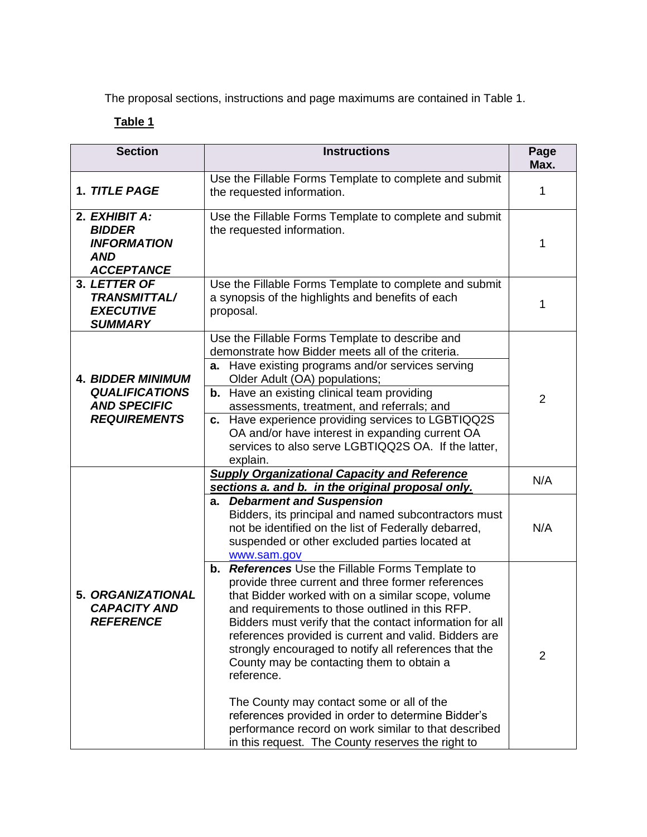<span id="page-14-0"></span>The proposal sections, instructions and page maximums are contained in Table 1.

# **Table 1**

| <b>Section</b>                                                                                                                                                                                        | <b>Instructions</b>                                                                                                                                                                                                                                                                                                                                                                                                                                                                                                                                                                                                                                                        | Page<br>Max.   |
|-------------------------------------------------------------------------------------------------------------------------------------------------------------------------------------------------------|----------------------------------------------------------------------------------------------------------------------------------------------------------------------------------------------------------------------------------------------------------------------------------------------------------------------------------------------------------------------------------------------------------------------------------------------------------------------------------------------------------------------------------------------------------------------------------------------------------------------------------------------------------------------------|----------------|
| 1. TITLE PAGE                                                                                                                                                                                         | Use the Fillable Forms Template to complete and submit<br>the requested information.                                                                                                                                                                                                                                                                                                                                                                                                                                                                                                                                                                                       | 1              |
| 2. EXHIBIT A:<br><b>BIDDER</b><br><b>INFORMATION</b><br><b>AND</b><br><b>ACCEPTANCE</b>                                                                                                               | Use the Fillable Forms Template to complete and submit<br>the requested information.                                                                                                                                                                                                                                                                                                                                                                                                                                                                                                                                                                                       | 1              |
| 3. LETTER OF<br>Use the Fillable Forms Template to complete and submit<br><b>TRANSMITTAL/</b><br>a synopsis of the highlights and benefits of each<br><b>EXECUTIVE</b><br>proposal.<br><b>SUMMARY</b> |                                                                                                                                                                                                                                                                                                                                                                                                                                                                                                                                                                                                                                                                            | 1              |
| <b>4. BIDDER MINIMUM</b><br><b>QUALIFICATIONS</b><br><b>AND SPECIFIC</b><br><b>REQUIREMENTS</b>                                                                                                       | Use the Fillable Forms Template to describe and<br>demonstrate how Bidder meets all of the criteria.<br><b>a.</b> Have existing programs and/or services serving<br>Older Adult (OA) populations;<br><b>b.</b> Have an existing clinical team providing<br>assessments, treatment, and referrals; and<br>c. Have experience providing services to LGBTIQQ2S<br>OA and/or have interest in expanding current OA<br>services to also serve LGBTIQQ2S OA. If the latter,<br>explain.                                                                                                                                                                                          | 2              |
|                                                                                                                                                                                                       | <b>Supply Organizational Capacity and Reference</b><br>sections a. and b. in the original proposal only.                                                                                                                                                                                                                                                                                                                                                                                                                                                                                                                                                                   | N/A            |
|                                                                                                                                                                                                       | a. Debarment and Suspension<br>Bidders, its principal and named subcontractors must<br>not be identified on the list of Federally debarred,<br>suspended or other excluded parties located at<br>www.sam.gov                                                                                                                                                                                                                                                                                                                                                                                                                                                               | N/A            |
| 5. ORGANIZATIONAL<br><b>CAPACITY AND</b><br><b>REFERENCE</b>                                                                                                                                          | References Use the Fillable Forms Template to<br>b.<br>provide three current and three former references<br>that Bidder worked with on a similar scope, volume<br>and requirements to those outlined in this RFP.<br>Bidders must verify that the contact information for all<br>references provided is current and valid. Bidders are<br>strongly encouraged to notify all references that the<br>County may be contacting them to obtain a<br>reference.<br>The County may contact some or all of the<br>references provided in order to determine Bidder's<br>performance record on work similar to that described<br>in this request. The County reserves the right to | $\overline{2}$ |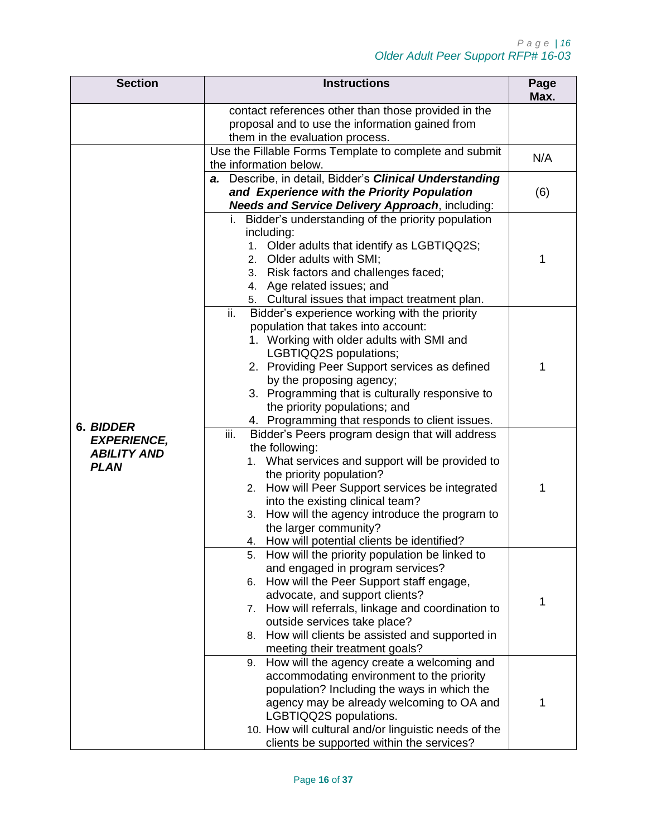| <b>Section</b>                                          | <b>Instructions</b>                                                                                                                                                                                                                                                                                                                                                                   | Page<br>Max. |
|---------------------------------------------------------|---------------------------------------------------------------------------------------------------------------------------------------------------------------------------------------------------------------------------------------------------------------------------------------------------------------------------------------------------------------------------------------|--------------|
|                                                         | contact references other than those provided in the<br>proposal and to use the information gained from<br>them in the evaluation process.                                                                                                                                                                                                                                             |              |
|                                                         | Use the Fillable Forms Template to complete and submit<br>the information below.                                                                                                                                                                                                                                                                                                      | N/A          |
|                                                         | a. Describe, in detail, Bidder's Clinical Understanding<br>and Experience with the Priority Population<br><b>Needs and Service Delivery Approach, including:</b>                                                                                                                                                                                                                      | (6)          |
|                                                         | i. Bidder's understanding of the priority population<br>including:<br>1. Older adults that identify as LGBTIQQ2S;<br>2. Older adults with SMI;<br>3. Risk factors and challenges faced;<br>4. Age related issues; and<br>5. Cultural issues that impact treatment plan.                                                                                                               | 1            |
| 6. BIDDER                                               | ii.<br>Bidder's experience working with the priority<br>population that takes into account:<br>1. Working with older adults with SMI and<br>LGBTIQQ2S populations;<br>2. Providing Peer Support services as defined<br>by the proposing agency;<br>3. Programming that is culturally responsive to<br>the priority populations; and<br>4. Programming that responds to client issues. | 1            |
| <b>EXPERIENCE,</b><br><b>ABILITY AND</b><br><b>PLAN</b> | iii.<br>Bidder's Peers program design that will address<br>the following:<br>1. What services and support will be provided to<br>the priority population?<br>How will Peer Support services be integrated<br>2.<br>into the existing clinical team?<br>How will the agency introduce the program to<br>3.<br>the larger community?<br>4. How will potential clients be identified?    | 1            |
|                                                         | How will the priority population be linked to<br>5.<br>and engaged in program services?<br>How will the Peer Support staff engage,<br>6.<br>advocate, and support clients?<br>How will referrals, linkage and coordination to<br>7.<br>outside services take place?<br>How will clients be assisted and supported in<br>8.<br>meeting their treatment goals?                          | 1            |
|                                                         | How will the agency create a welcoming and<br>9.<br>accommodating environment to the priority<br>population? Including the ways in which the<br>agency may be already welcoming to OA and<br>LGBTIQQ2S populations.<br>10. How will cultural and/or linguistic needs of the<br>clients be supported within the services?                                                              | 1            |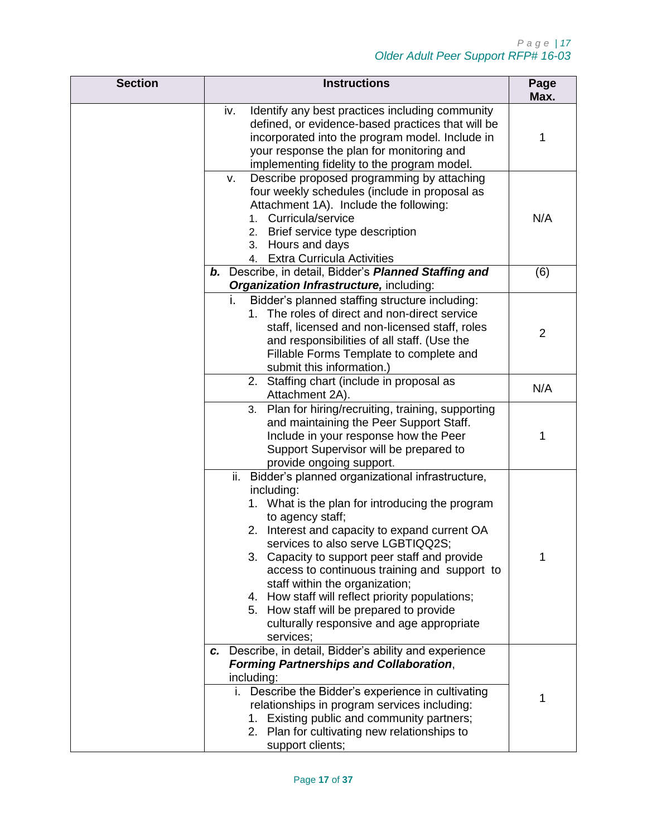| <b>Section</b> | <b>Instructions</b>                                                                                                                                                                                                                                                                                                                                                                                                                                                                                                           | Page<br>Max.   |
|----------------|-------------------------------------------------------------------------------------------------------------------------------------------------------------------------------------------------------------------------------------------------------------------------------------------------------------------------------------------------------------------------------------------------------------------------------------------------------------------------------------------------------------------------------|----------------|
|                | iv.<br>Identify any best practices including community<br>defined, or evidence-based practices that will be<br>incorporated into the program model. Include in<br>your response the plan for monitoring and<br>implementing fidelity to the program model.                                                                                                                                                                                                                                                                    | 1              |
|                | Describe proposed programming by attaching<br>v.<br>four weekly schedules (include in proposal as<br>Attachment 1A). Include the following:<br>1. Curricula/service<br>2. Brief service type description<br>3. Hours and days<br>4. Extra Curricula Activities                                                                                                                                                                                                                                                                | N/A            |
|                | b. Describe, in detail, Bidder's Planned Staffing and<br>Organization Infrastructure, including:                                                                                                                                                                                                                                                                                                                                                                                                                              | (6)            |
|                | Bidder's planned staffing structure including:<br>i.<br>1. The roles of direct and non-direct service<br>staff, licensed and non-licensed staff, roles<br>and responsibilities of all staff. (Use the<br>Fillable Forms Template to complete and<br>submit this information.)                                                                                                                                                                                                                                                 | $\overline{2}$ |
|                | 2. Staffing chart (include in proposal as<br>Attachment 2A).                                                                                                                                                                                                                                                                                                                                                                                                                                                                  | N/A            |
|                | Plan for hiring/recruiting, training, supporting<br>3.<br>and maintaining the Peer Support Staff.<br>Include in your response how the Peer<br>Support Supervisor will be prepared to<br>provide ongoing support.                                                                                                                                                                                                                                                                                                              | 1              |
|                | Bidder's planned organizational infrastructure,<br>ii.<br>including:<br>1. What is the plan for introducing the program<br>to agency staff;<br>2. Interest and capacity to expand current OA<br>services to also serve LGBTIQQ2S;<br>3. Capacity to support peer staff and provide<br>access to continuous training and support to<br>staff within the organization;<br>4. How staff will reflect priority populations;<br>5. How staff will be prepared to provide<br>culturally responsive and age appropriate<br>services; | 1              |
|                | c. Describe, in detail, Bidder's ability and experience<br><b>Forming Partnerships and Collaboration,</b><br>including:<br>i. Describe the Bidder's experience in cultivating<br>relationships in program services including:<br>1. Existing public and community partners;<br>2. Plan for cultivating new relationships to<br>support clients;                                                                                                                                                                               | 1              |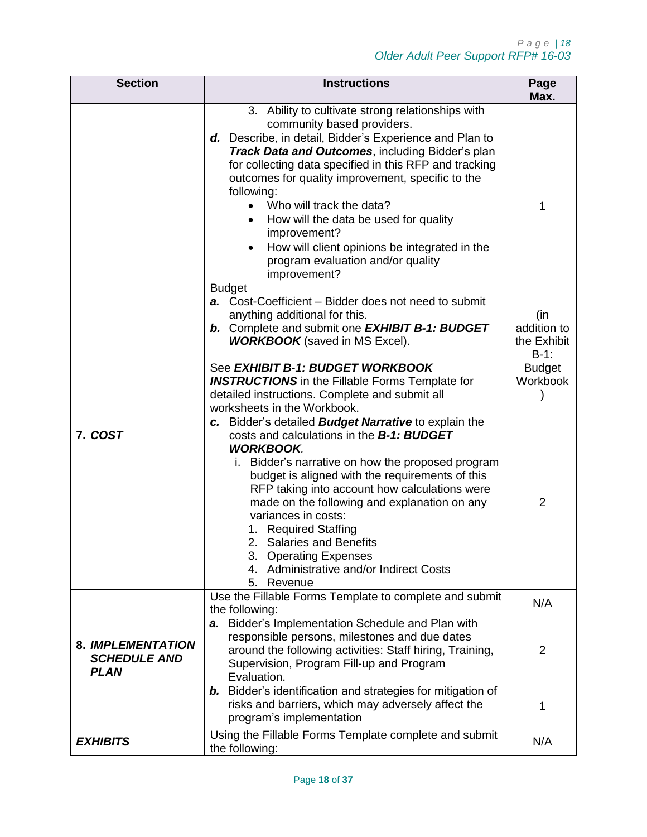| <b>Section</b>                                          | <b>Instructions</b>                                                                                                                                                                                                                                                                                                                                                                                                                                                                                      | Page<br>Max.                                                              |
|---------------------------------------------------------|----------------------------------------------------------------------------------------------------------------------------------------------------------------------------------------------------------------------------------------------------------------------------------------------------------------------------------------------------------------------------------------------------------------------------------------------------------------------------------------------------------|---------------------------------------------------------------------------|
|                                                         | 3. Ability to cultivate strong relationships with<br>community based providers.                                                                                                                                                                                                                                                                                                                                                                                                                          |                                                                           |
|                                                         | d. Describe, in detail, Bidder's Experience and Plan to<br>Track Data and Outcomes, including Bidder's plan<br>for collecting data specified in this RFP and tracking<br>outcomes for quality improvement, specific to the<br>following:<br>Who will track the data?<br>How will the data be used for quality<br>improvement?<br>How will client opinions be integrated in the<br>program evaluation and/or quality<br>improvement?                                                                      | 1                                                                         |
|                                                         | <b>Budget</b><br>a. Cost-Coefficient – Bidder does not need to submit<br>anything additional for this.<br><b>b.</b> Complete and submit one <b>EXHIBIT B-1: BUDGET</b><br><b>WORKBOOK</b> (saved in MS Excel).<br>See EXHIBIT B-1: BUDGET WORKBOOK<br><b>INSTRUCTIONS</b> in the Fillable Forms Template for<br>detailed instructions. Complete and submit all<br>worksheets in the Workbook.                                                                                                            | (in<br>addition to<br>the Exhibit<br>$B-1$ :<br><b>Budget</b><br>Workbook |
| 7. COST                                                 | c. Bidder's detailed Budget Narrative to explain the<br>costs and calculations in the <b>B-1: BUDGET</b><br><b>WORKBOOK.</b><br>Bidder's narrative on how the proposed program<br>ı.<br>budget is aligned with the requirements of this<br>RFP taking into account how calculations were<br>made on the following and explanation on any<br>variances in costs:<br>1. Required Staffing<br>2. Salaries and Benefits<br>3. Operating Expenses<br>4. Administrative and/or Indirect Costs<br>5.<br>Revenue | 2                                                                         |
|                                                         | Use the Fillable Forms Template to complete and submit<br>the following:                                                                                                                                                                                                                                                                                                                                                                                                                                 | N/A                                                                       |
| 8. IMPLEMENTATION<br><b>SCHEDULE AND</b><br><b>PLAN</b> | a. Bidder's Implementation Schedule and Plan with<br>responsible persons, milestones and due dates<br>around the following activities: Staff hiring, Training,<br>Supervision, Program Fill-up and Program<br>Evaluation.                                                                                                                                                                                                                                                                                | $\overline{2}$                                                            |
|                                                         | b. Bidder's identification and strategies for mitigation of<br>risks and barriers, which may adversely affect the<br>program's implementation                                                                                                                                                                                                                                                                                                                                                            | 1                                                                         |
| <b>EXHIBITS</b>                                         | Using the Fillable Forms Template complete and submit<br>the following:                                                                                                                                                                                                                                                                                                                                                                                                                                  |                                                                           |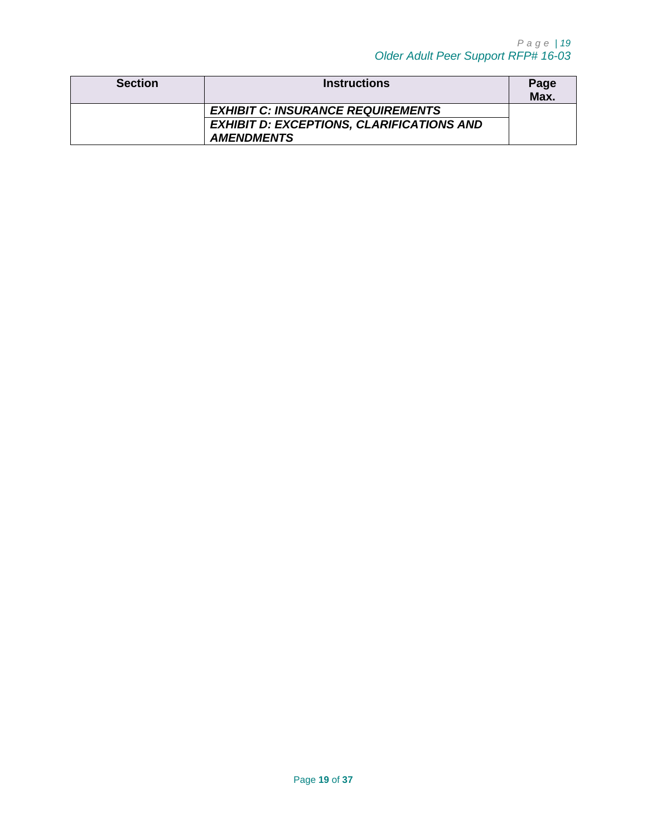| <b>Section</b> | <b>Instructions</b>                              | Page<br>Max. |
|----------------|--------------------------------------------------|--------------|
|                | <b>EXHIBIT C: INSURANCE REQUIREMENTS</b>         |              |
|                | <b>EXHIBIT D: EXCEPTIONS, CLARIFICATIONS AND</b> |              |
|                | <b>AMENDMENTS</b>                                |              |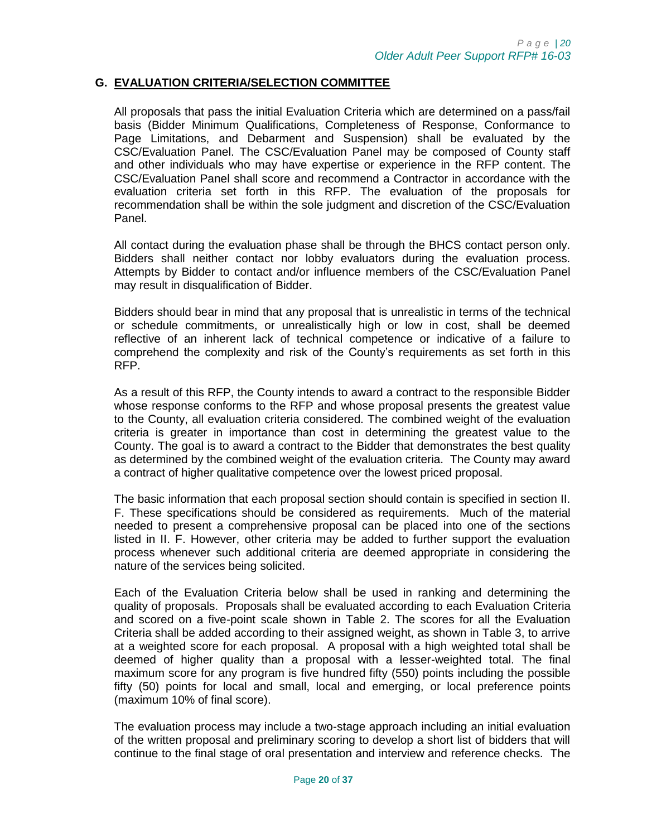#### <span id="page-19-0"></span>**G. EVALUATION CRITERIA/SELECTION COMMITTEE**

All proposals that pass the initial Evaluation Criteria which are determined on a pass/fail basis (Bidder Minimum Qualifications, Completeness of Response, Conformance to Page Limitations, and Debarment and Suspension) shall be evaluated by the CSC/Evaluation Panel. The CSC/Evaluation Panel may be composed of County staff and other individuals who may have expertise or experience in the RFP content. The CSC/Evaluation Panel shall score and recommend a Contractor in accordance with the evaluation criteria set forth in this RFP. The evaluation of the proposals for recommendation shall be within the sole judgment and discretion of the CSC/Evaluation Panel.

All contact during the evaluation phase shall be through the BHCS contact person only. Bidders shall neither contact nor lobby evaluators during the evaluation process. Attempts by Bidder to contact and/or influence members of the CSC/Evaluation Panel may result in disqualification of Bidder.

Bidders should bear in mind that any proposal that is unrealistic in terms of the technical or schedule commitments, or unrealistically high or low in cost, shall be deemed reflective of an inherent lack of technical competence or indicative of a failure to comprehend the complexity and risk of the County's requirements as set forth in this RFP.

As a result of this RFP, the County intends to award a contract to the responsible Bidder whose response conforms to the RFP and whose proposal presents the greatest value to the County, all evaluation criteria considered. The combined weight of the evaluation criteria is greater in importance than cost in determining the greatest value to the County. The goal is to award a contract to the Bidder that demonstrates the best quality as determined by the combined weight of the evaluation criteria. The County may award a contract of higher qualitative competence over the lowest priced proposal.

The basic information that each proposal section should contain is specified in section II. F. These specifications should be considered as requirements. Much of the material needed to present a comprehensive proposal can be placed into one of the sections listed in II. F. However, other criteria may be added to further support the evaluation process whenever such additional criteria are deemed appropriate in considering the nature of the services being solicited.

Each of the Evaluation Criteria below shall be used in ranking and determining the quality of proposals. Proposals shall be evaluated according to each Evaluation Criteria and scored on a five-point scale shown in Table 2. The scores for all the Evaluation Criteria shall be added according to their assigned weight, as shown in Table 3, to arrive at a weighted score for each proposal. A proposal with a high weighted total shall be deemed of higher quality than a proposal with a lesser-weighted total. The final maximum score for any program is five hundred fifty (550) points including the possible fifty (50) points for local and small, local and emerging, or local preference points (maximum 10% of final score).

The evaluation process may include a two-stage approach including an initial evaluation of the written proposal and preliminary scoring to develop a short list of bidders that will continue to the final stage of oral presentation and interview and reference checks. The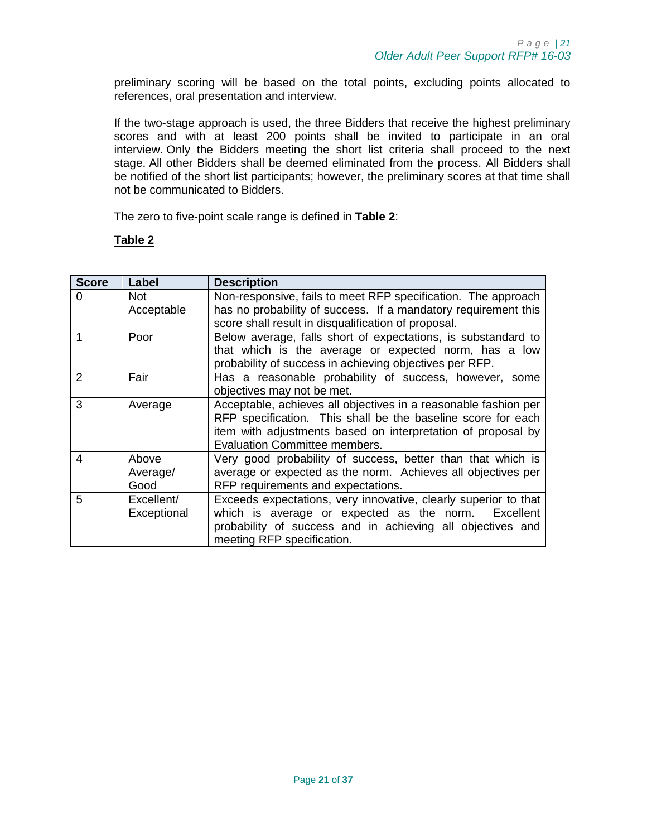preliminary scoring will be based on the total points, excluding points allocated to references, oral presentation and interview.

If the two-stage approach is used, the three Bidders that receive the highest preliminary scores and with at least 200 points shall be invited to participate in an oral interview. Only the Bidders meeting the short list criteria shall proceed to the next stage. All other Bidders shall be deemed eliminated from the process. All Bidders shall be notified of the short list participants; however, the preliminary scores at that time shall not be communicated to Bidders.

The zero to five-point scale range is defined in **[Table 2](#page-20-0)**:

## <span id="page-20-0"></span>**Table 2**

| <b>Score</b>  | Label       | <b>Description</b>                                              |  |  |
|---------------|-------------|-----------------------------------------------------------------|--|--|
| 0             | <b>Not</b>  | Non-responsive, fails to meet RFP specification. The approach   |  |  |
|               | Acceptable  | has no probability of success. If a mandatory requirement this  |  |  |
|               |             | score shall result in disqualification of proposal.             |  |  |
|               | Poor        | Below average, falls short of expectations, is substandard to   |  |  |
|               |             | that which is the average or expected norm, has a low           |  |  |
|               |             | probability of success in achieving objectives per RFP.         |  |  |
| $\mathcal{P}$ | Fair        | Has a reasonable probability of success, however, some          |  |  |
|               |             | objectives may not be met.                                      |  |  |
| 3             | Average     | Acceptable, achieves all objectives in a reasonable fashion per |  |  |
|               |             | RFP specification. This shall be the baseline score for each    |  |  |
|               |             | item with adjustments based on interpretation of proposal by    |  |  |
|               |             | Evaluation Committee members.                                   |  |  |
| 4             | Above       | Very good probability of success, better than that which is     |  |  |
|               | Average/    | average or expected as the norm. Achieves all objectives per    |  |  |
|               | Good        | RFP requirements and expectations.                              |  |  |
| 5             | Excellent/  | Exceeds expectations, very innovative, clearly superior to that |  |  |
|               | Exceptional | which is average or expected as the norm.<br>Excellent          |  |  |
|               |             | probability of success and in achieving all objectives and      |  |  |
|               |             | meeting RFP specification.                                      |  |  |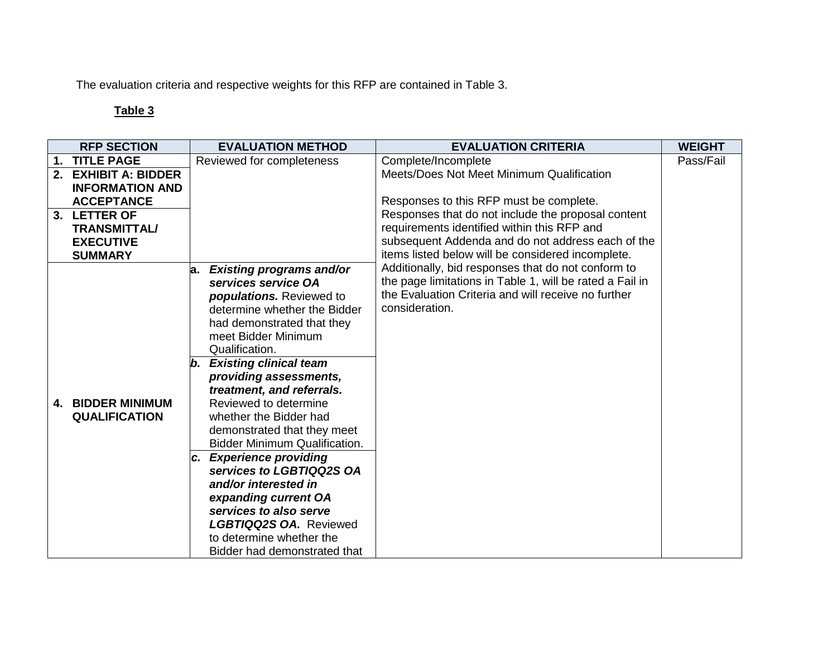The evaluation criteria and respective weights for this RFP are contained in Table 3.

# **Table 3**

<span id="page-21-0"></span>

|    | <b>RFP SECTION</b>       | <b>EVALUATION METHOD</b>                            | <b>EVALUATION CRITERIA</b>                               | <b>WEIGHT</b> |
|----|--------------------------|-----------------------------------------------------|----------------------------------------------------------|---------------|
| 1. | <b>TITLE PAGE</b>        | Reviewed for completeness                           | Complete/Incomplete                                      | Pass/Fail     |
| 2. | <b>EXHIBIT A: BIDDER</b> |                                                     | Meets/Does Not Meet Minimum Qualification                |               |
|    | <b>INFORMATION AND</b>   |                                                     |                                                          |               |
|    | <b>ACCEPTANCE</b>        |                                                     | Responses to this RFP must be complete.                  |               |
|    | 3. LETTER OF             |                                                     | Responses that do not include the proposal content       |               |
|    | <b>TRANSMITTAL/</b>      |                                                     | requirements identified within this RFP and              |               |
|    | <b>EXECUTIVE</b>         |                                                     | subsequent Addenda and do not address each of the        |               |
|    | <b>SUMMARY</b>           |                                                     | items listed below will be considered incomplete.        |               |
|    |                          | <b>Existing programs and/or</b><br>а.               | Additionally, bid responses that do not conform to       |               |
|    |                          | services service OA                                 | the page limitations in Table 1, will be rated a Fail in |               |
|    |                          | populations. Reviewed to                            | the Evaluation Criteria and will receive no further      |               |
|    |                          | determine whether the Bidder                        | consideration.                                           |               |
|    |                          | had demonstrated that they                          |                                                          |               |
|    |                          | meet Bidder Minimum                                 |                                                          |               |
|    |                          | Qualification.                                      |                                                          |               |
|    |                          | <b>Existing clinical team</b><br>b.                 |                                                          |               |
|    |                          | providing assessments,<br>treatment, and referrals. |                                                          |               |
|    | 4. BIDDER MINIMUM        | Reviewed to determine                               |                                                          |               |
|    | <b>QUALIFICATION</b>     | whether the Bidder had                              |                                                          |               |
|    |                          | demonstrated that they meet                         |                                                          |               |
|    |                          | <b>Bidder Minimum Qualification.</b>                |                                                          |               |
|    |                          | c. Experience providing                             |                                                          |               |
|    |                          | services to LGBTIQQ2S OA                            |                                                          |               |
|    |                          | and/or interested in                                |                                                          |               |
|    |                          | expanding current OA                                |                                                          |               |
|    |                          | services to also serve                              |                                                          |               |
|    |                          | <b>LGBTIQQ2S OA. Reviewed</b>                       |                                                          |               |
|    |                          | to determine whether the                            |                                                          |               |
|    |                          | Bidder had demonstrated that                        |                                                          |               |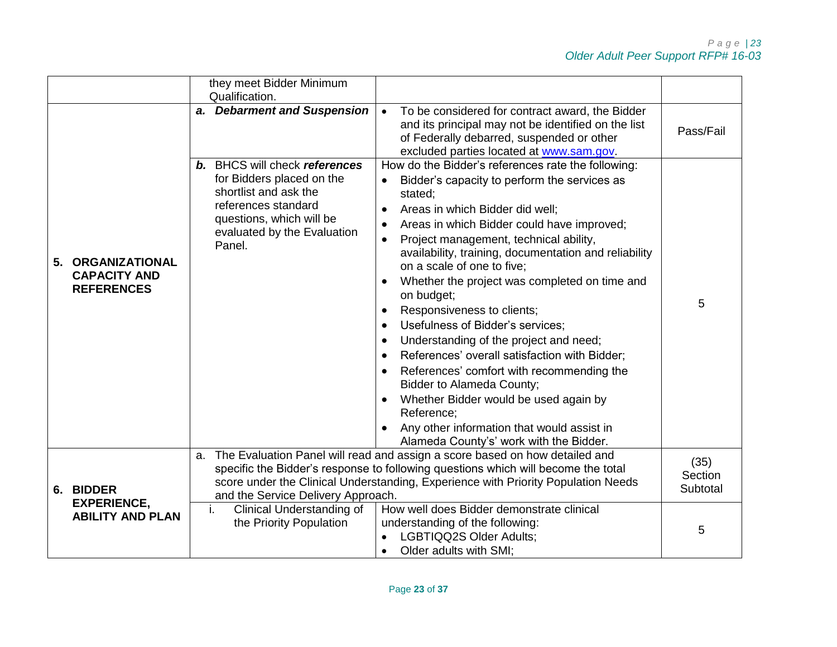|    |                                                                   | they meet Bidder Minimum<br>Qualification.                                                                                                                                             |                                                                                                                                                                                                                                                                                                                                                                                                                                                                                                                                                                                                                                                                                                                                                                                                                                           |                             |
|----|-------------------------------------------------------------------|----------------------------------------------------------------------------------------------------------------------------------------------------------------------------------------|-------------------------------------------------------------------------------------------------------------------------------------------------------------------------------------------------------------------------------------------------------------------------------------------------------------------------------------------------------------------------------------------------------------------------------------------------------------------------------------------------------------------------------------------------------------------------------------------------------------------------------------------------------------------------------------------------------------------------------------------------------------------------------------------------------------------------------------------|-----------------------------|
|    |                                                                   | a. Debarment and Suspension                                                                                                                                                            | To be considered for contract award, the Bidder<br>$\bullet$<br>and its principal may not be identified on the list<br>of Federally debarred, suspended or other<br>excluded parties located at www.sam.gov.                                                                                                                                                                                                                                                                                                                                                                                                                                                                                                                                                                                                                              | Pass/Fail                   |
| 5. | <b>ORGANIZATIONAL</b><br><b>CAPACITY AND</b><br><b>REFERENCES</b> | <b>b.</b> BHCS will check references<br>for Bidders placed on the<br>shortlist and ask the<br>references standard<br>questions, which will be<br>evaluated by the Evaluation<br>Panel. | How do the Bidder's references rate the following:<br>Bidder's capacity to perform the services as<br>$\bullet$<br>stated:<br>Areas in which Bidder did well;<br>Areas in which Bidder could have improved;<br>Project management, technical ability,<br>$\bullet$<br>availability, training, documentation and reliability<br>on a scale of one to five;<br>Whether the project was completed on time and<br>on budget;<br>Responsiveness to clients;<br>$\bullet$<br>Usefulness of Bidder's services;<br>Understanding of the project and need;<br>References' overall satisfaction with Bidder;<br>$\bullet$<br>References' comfort with recommending the<br>Bidder to Alameda County;<br>Whether Bidder would be used again by<br>Reference;<br>Any other information that would assist in<br>Alameda County's' work with the Bidder. | 5                           |
|    | 6. BIDDER                                                         | a.<br>and the Service Delivery Approach.                                                                                                                                               | The Evaluation Panel will read and assign a score based on how detailed and<br>specific the Bidder's response to following questions which will become the total<br>score under the Clinical Understanding, Experience with Priority Population Needs                                                                                                                                                                                                                                                                                                                                                                                                                                                                                                                                                                                     | (35)<br>Section<br>Subtotal |
|    | <b>EXPERIENCE,</b><br><b>ABILITY AND PLAN</b>                     | <b>Clinical Understanding of</b><br>i.<br>the Priority Population                                                                                                                      | How well does Bidder demonstrate clinical<br>understanding of the following:<br>LGBTIQQ2S Older Adults;<br>Older adults with SMI:<br>$\bullet$                                                                                                                                                                                                                                                                                                                                                                                                                                                                                                                                                                                                                                                                                            | 5                           |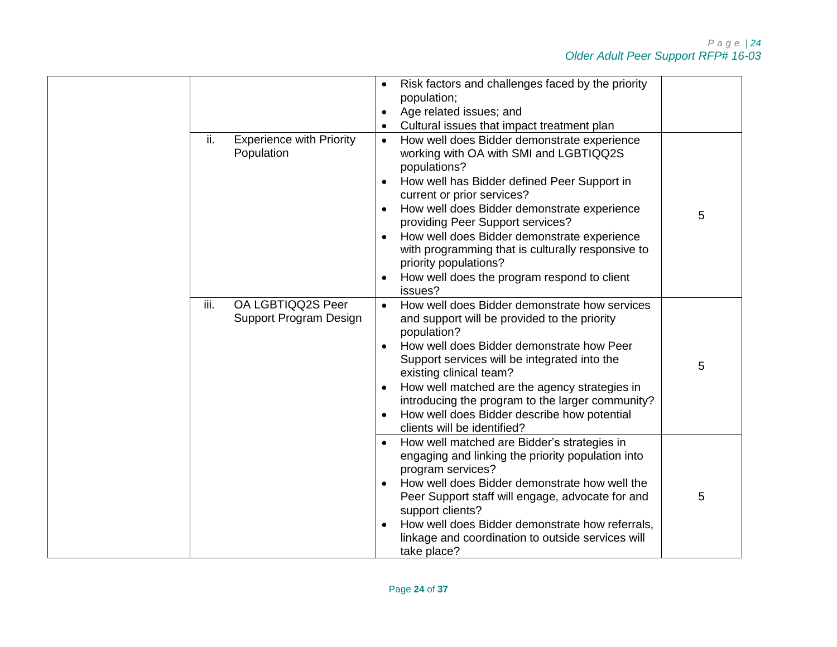|                                                      | Risk factors and challenges faced by the priority                                                                                                                 |   |
|------------------------------------------------------|-------------------------------------------------------------------------------------------------------------------------------------------------------------------|---|
|                                                      | population;                                                                                                                                                       |   |
|                                                      | Age related issues; and<br>$\bullet$                                                                                                                              |   |
|                                                      | Cultural issues that impact treatment plan                                                                                                                        |   |
| ii.<br><b>Experience with Priority</b><br>Population | How well does Bidder demonstrate experience<br>$\bullet$<br>working with OA with SMI and LGBTIQQ2S<br>populations?<br>How well has Bidder defined Peer Support in |   |
|                                                      | current or prior services?                                                                                                                                        |   |
|                                                      | How well does Bidder demonstrate experience                                                                                                                       | 5 |
|                                                      | providing Peer Support services?                                                                                                                                  |   |
|                                                      | How well does Bidder demonstrate experience<br>with programming that is culturally responsive to<br>priority populations?                                         |   |
|                                                      | How well does the program respond to client<br>issues?                                                                                                            |   |
| OA LGBTIQQ2S Peer<br>iii.<br>Support Program Design  | How well does Bidder demonstrate how services<br>$\bullet$<br>and support will be provided to the priority<br>population?                                         |   |
|                                                      | How well does Bidder demonstrate how Peer<br>Support services will be integrated into the<br>existing clinical team?                                              | 5 |
|                                                      | How well matched are the agency strategies in<br>$\bullet$<br>introducing the program to the larger community?                                                    |   |
|                                                      | How well does Bidder describe how potential<br>$\bullet$<br>clients will be identified?                                                                           |   |
|                                                      | How well matched are Bidder's strategies in<br>engaging and linking the priority population into<br>program services?                                             |   |
|                                                      | How well does Bidder demonstrate how well the<br>$\bullet$<br>Peer Support staff will engage, advocate for and<br>support clients?                                | 5 |
|                                                      | How well does Bidder demonstrate how referrals,<br>$\bullet$<br>linkage and coordination to outside services will<br>take place?                                  |   |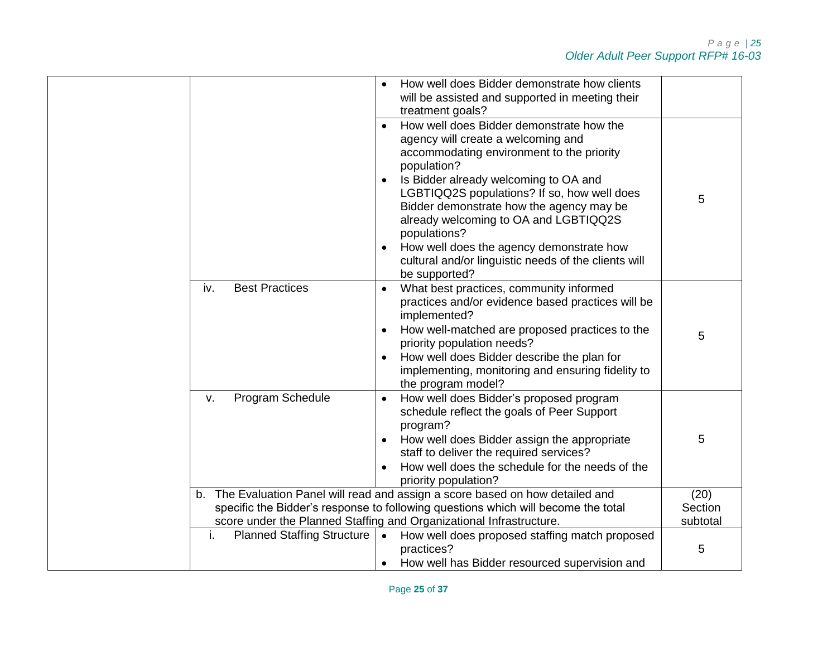|                                         | How well does Bidder demonstrate how clients<br>will be assisted and supported in meeting their                                                          |                     |
|-----------------------------------------|----------------------------------------------------------------------------------------------------------------------------------------------------------|---------------------|
|                                         | treatment goals?                                                                                                                                         |                     |
|                                         | How well does Bidder demonstrate how the                                                                                                                 |                     |
|                                         | agency will create a welcoming and                                                                                                                       |                     |
|                                         | accommodating environment to the priority                                                                                                                |                     |
|                                         | population?                                                                                                                                              |                     |
|                                         | Is Bidder already welcoming to OA and                                                                                                                    |                     |
|                                         | LGBTIQQ2S populations? If so, how well does                                                                                                              | 5                   |
|                                         | Bidder demonstrate how the agency may be                                                                                                                 |                     |
|                                         | already welcoming to OA and LGBTIQQ2S                                                                                                                    |                     |
|                                         | populations?                                                                                                                                             |                     |
|                                         | How well does the agency demonstrate how<br>$\bullet$                                                                                                    |                     |
|                                         | cultural and/or linguistic needs of the clients will                                                                                                     |                     |
|                                         | be supported?                                                                                                                                            |                     |
| <b>Best Practices</b><br>iv.            | What best practices, community informed<br>$\bullet$                                                                                                     |                     |
|                                         | practices and/or evidence based practices will be                                                                                                        |                     |
|                                         | implemented?                                                                                                                                             |                     |
|                                         | How well-matched are proposed practices to the<br>$\bullet$                                                                                              | 5                   |
|                                         | priority population needs?                                                                                                                               |                     |
|                                         | How well does Bidder describe the plan for                                                                                                               |                     |
|                                         | implementing, monitoring and ensuring fidelity to                                                                                                        |                     |
|                                         | the program model?                                                                                                                                       |                     |
| Program Schedule<br>v.                  | How well does Bidder's proposed program                                                                                                                  |                     |
|                                         | schedule reflect the goals of Peer Support                                                                                                               |                     |
|                                         | program?                                                                                                                                                 |                     |
|                                         | How well does Bidder assign the appropriate<br>$\bullet$                                                                                                 | 5                   |
|                                         | staff to deliver the required services?                                                                                                                  |                     |
|                                         | How well does the schedule for the needs of the                                                                                                          |                     |
|                                         | priority population?                                                                                                                                     |                     |
|                                         | b. The Evaluation Panel will read and assign a score based on how detailed and                                                                           | (20)                |
|                                         | specific the Bidder's response to following questions which will become the total<br>score under the Planned Staffing and Organizational Infrastructure. | Section<br>subtotal |
| <b>Planned Staffing Structure</b><br>j. |                                                                                                                                                          |                     |
|                                         | • How well does proposed staffing match proposed<br>practices?                                                                                           | 5                   |
|                                         | How well has Bidder resourced supervision and                                                                                                            |                     |
|                                         | $\bullet$                                                                                                                                                |                     |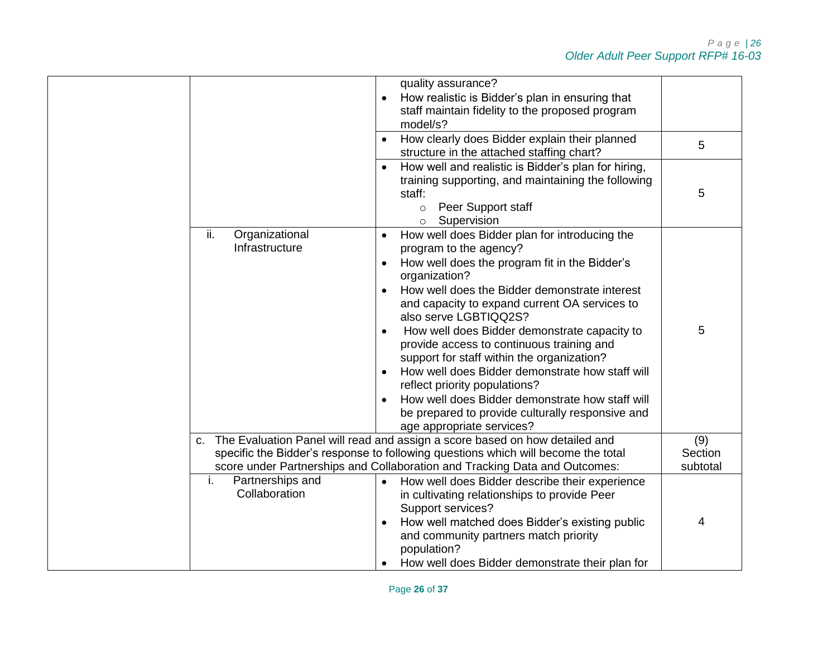|                                         | quality assurance?<br>How realistic is Bidder's plan in ensuring that<br>staff maintain fidelity to the proposed program<br>model/s?<br>How clearly does Bidder explain their planned<br>structure in the attached staffing chart?                                                                                                                                                                                                                                                                                                                                                                                                      | 5 |
|-----------------------------------------|-----------------------------------------------------------------------------------------------------------------------------------------------------------------------------------------------------------------------------------------------------------------------------------------------------------------------------------------------------------------------------------------------------------------------------------------------------------------------------------------------------------------------------------------------------------------------------------------------------------------------------------------|---|
|                                         | How well and realistic is Bidder's plan for hiring,<br>training supporting, and maintaining the following<br>staff:<br>Peer Support staff<br>$\circ$<br>Supervision<br>$\circ$                                                                                                                                                                                                                                                                                                                                                                                                                                                          | 5 |
| ii.<br>Organizational<br>Infrastructure | How well does Bidder plan for introducing the<br>program to the agency?<br>How well does the program fit in the Bidder's<br>organization?<br>How well does the Bidder demonstrate interest<br>and capacity to expand current OA services to<br>also serve LGBTIQQ2S?<br>How well does Bidder demonstrate capacity to<br>provide access to continuous training and<br>support for staff within the organization?<br>How well does Bidder demonstrate how staff will<br>reflect priority populations?<br>How well does Bidder demonstrate how staff will<br>be prepared to provide culturally responsive and<br>age appropriate services? | 5 |
| C.                                      | The Evaluation Panel will read and assign a score based on how detailed and<br>specific the Bidder's response to following questions which will become the total<br>score under Partnerships and Collaboration and Tracking Data and Outcomes:                                                                                                                                                                                                                                                                                                                                                                                          |   |
| Partnerships and<br>i.<br>Collaboration | How well does Bidder describe their experience<br>in cultivating relationships to provide Peer<br>Support services?<br>How well matched does Bidder's existing public<br>and community partners match priority<br>population?<br>How well does Bidder demonstrate their plan for                                                                                                                                                                                                                                                                                                                                                        | 4 |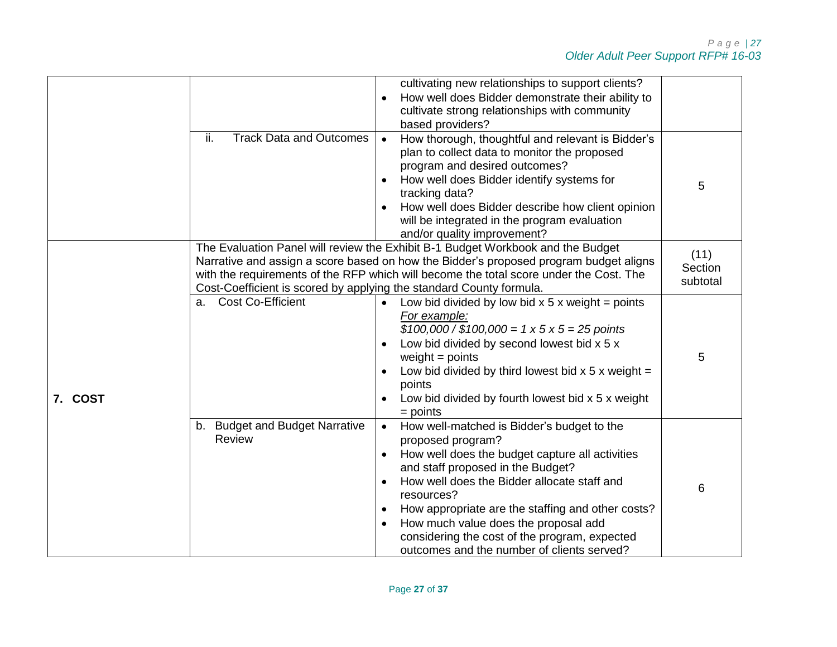|         |                                                                     | cultivating new relationships to support clients?<br>How well does Bidder demonstrate their ability to<br>cultivate strong relationships with community                                                                                                                                                                                                                                                                       |                             |
|---------|---------------------------------------------------------------------|-------------------------------------------------------------------------------------------------------------------------------------------------------------------------------------------------------------------------------------------------------------------------------------------------------------------------------------------------------------------------------------------------------------------------------|-----------------------------|
|         |                                                                     | based providers?                                                                                                                                                                                                                                                                                                                                                                                                              |                             |
|         | ii.<br><b>Track Data and Outcomes</b>                               | How thorough, thoughtful and relevant is Bidder's<br>$\bullet$<br>plan to collect data to monitor the proposed<br>program and desired outcomes?<br>How well does Bidder identify systems for<br>tracking data?<br>How well does Bidder describe how client opinion<br>will be integrated in the program evaluation<br>and/or quality improvement?                                                                             | 5                           |
|         | Cost-Coefficient is scored by applying the standard County formula. | The Evaluation Panel will review the Exhibit B-1 Budget Workbook and the Budget<br>Narrative and assign a score based on how the Bidder's proposed program budget aligns<br>with the requirements of the RFP which will become the total score under the Cost. The                                                                                                                                                            | (11)<br>Section<br>subtotal |
| 7. COST | <b>Cost Co-Efficient</b><br>a.                                      | Low bid divided by low bid $x$ 5 x weight = points<br>$\bullet$<br>For example:<br>$$100,000 / $100,000 = 1 \times 5 \times 5 = 25$ points<br>Low bid divided by second lowest bid x 5 x<br>weight $=$ points<br>Low bid divided by third lowest bid $x$ 5 x weight =<br>points<br>Low bid divided by fourth lowest bid x 5 x weight<br>$=$ points                                                                            | 5                           |
|         | b. Budget and Budget Narrative<br>Review                            | How well-matched is Bidder's budget to the<br>$\bullet$<br>proposed program?<br>How well does the budget capture all activities<br>and staff proposed in the Budget?<br>How well does the Bidder allocate staff and<br>resources?<br>How appropriate are the staffing and other costs?<br>How much value does the proposal add<br>considering the cost of the program, expected<br>outcomes and the number of clients served? | 6                           |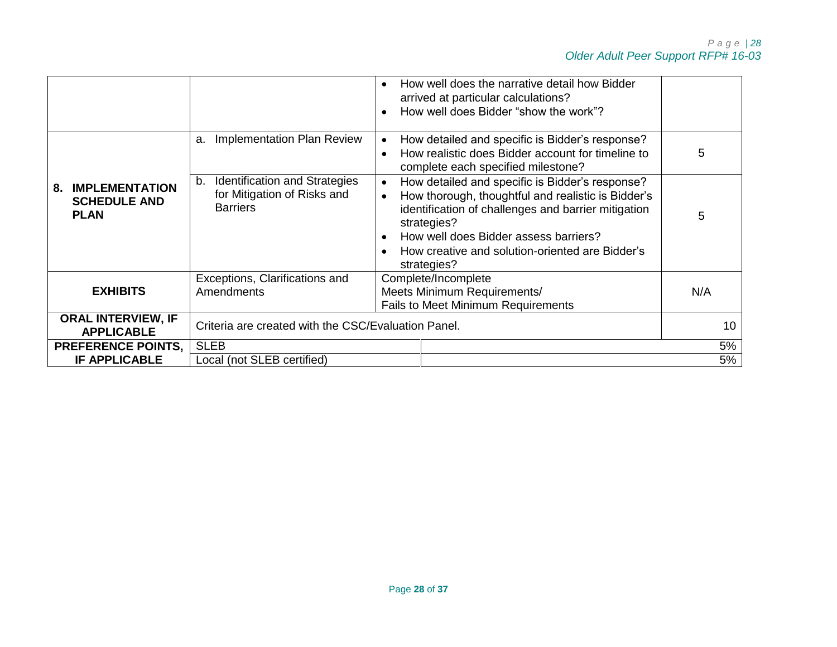|                                                                   |                                                                                       | How well does the narrative detail how Bidder<br>arrived at particular calculations?<br>How well does Bidder "show the work"?                                                                                                                                                                       |          |
|-------------------------------------------------------------------|---------------------------------------------------------------------------------------|-----------------------------------------------------------------------------------------------------------------------------------------------------------------------------------------------------------------------------------------------------------------------------------------------------|----------|
|                                                                   | <b>Implementation Plan Review</b><br>a.                                               | How detailed and specific is Bidder's response?<br>How realistic does Bidder account for timeline to<br>complete each specified milestone?                                                                                                                                                          | 5        |
| <b>IMPLEMENTATION</b><br>8.<br><b>SCHEDULE AND</b><br><b>PLAN</b> | Identification and Strategies<br>b.<br>for Mitigation of Risks and<br><b>Barriers</b> | How detailed and specific is Bidder's response?<br>$\bullet$<br>How thorough, thoughtful and realistic is Bidder's<br>identification of challenges and barrier mitigation<br>strategies?<br>How well does Bidder assess barriers?<br>How creative and solution-oriented are Bidder's<br>strategies? | 5        |
| <b>EXHIBITS</b>                                                   | Exceptions, Clarifications and<br>Amendments                                          | Complete/Incomplete<br>Meets Minimum Requirements/<br><b>Fails to Meet Minimum Requirements</b>                                                                                                                                                                                                     | N/A      |
| <b>ORAL INTERVIEW, IF</b><br><b>APPLICABLE</b>                    | Criteria are created with the CSC/Evaluation Panel.                                   |                                                                                                                                                                                                                                                                                                     | 10       |
| <b>PREFERENCE POINTS,</b><br><b>IF APPLICABLE</b>                 | <b>SLEB</b><br>Local (not SLEB certified)                                             |                                                                                                                                                                                                                                                                                                     | 5%<br>5% |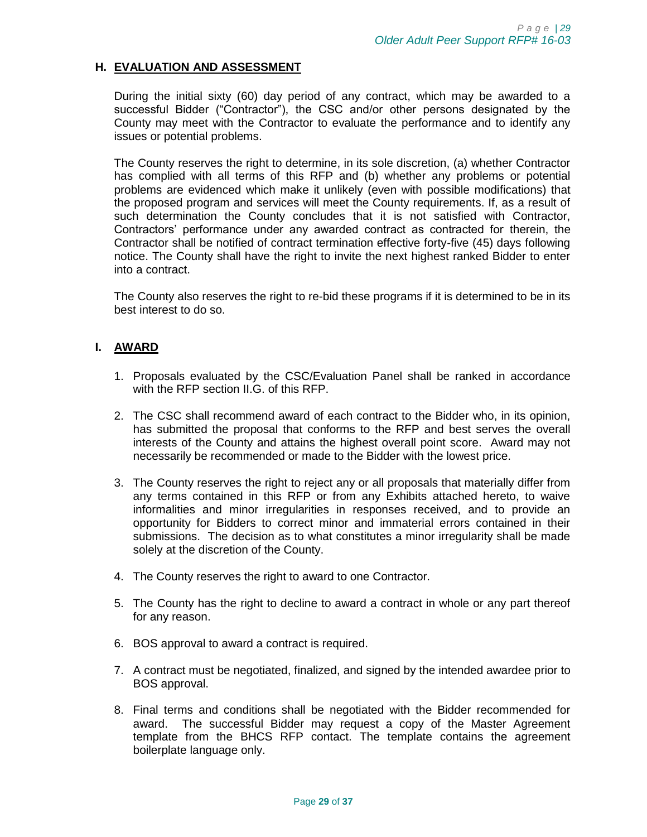#### <span id="page-28-0"></span>**H. EVALUATION AND ASSESSMENT**

During the initial sixty (60) day period of any contract, which may be awarded to a successful Bidder ("Contractor"), the CSC and/or other persons designated by the County may meet with the Contractor to evaluate the performance and to identify any issues or potential problems.

The County reserves the right to determine, in its sole discretion, (a) whether Contractor has complied with all terms of this RFP and (b) whether any problems or potential problems are evidenced which make it unlikely (even with possible modifications) that the proposed program and services will meet the County requirements. If, as a result of such determination the County concludes that it is not satisfied with Contractor, Contractors' performance under any awarded contract as contracted for therein, the Contractor shall be notified of contract termination effective forty-five (45) days following notice. The County shall have the right to invite the next highest ranked Bidder to enter into a contract.

The County also reserves the right to re-bid these programs if it is determined to be in its best interest to do so.

#### <span id="page-28-1"></span>**I. AWARD**

- 1. Proposals evaluated by the CSC/Evaluation Panel shall be ranked in accordance with the RFP section II.G. of this RFP.
- 2. The CSC shall recommend award of each contract to the Bidder who, in its opinion, has submitted the proposal that conforms to the RFP and best serves the overall interests of the County and attains the highest overall point score. Award may not necessarily be recommended or made to the Bidder with the lowest price.
- 3. The County reserves the right to reject any or all proposals that materially differ from any terms contained in this RFP or from any Exhibits attached hereto, to waive informalities and minor irregularities in responses received, and to provide an opportunity for Bidders to correct minor and immaterial errors contained in their submissions. The decision as to what constitutes a minor irregularity shall be made solely at the discretion of the County.
- 4. The County reserves the right to award to one Contractor.
- 5. The County has the right to decline to award a contract in whole or any part thereof for any reason.
- 6. BOS approval to award a contract is required.
- 7. A contract must be negotiated, finalized, and signed by the intended awardee prior to BOS approval.
- 8. Final terms and conditions shall be negotiated with the Bidder recommended for award. The successful Bidder may request a copy of the Master Agreement template from the BHCS RFP contact. The template contains the agreement boilerplate language only.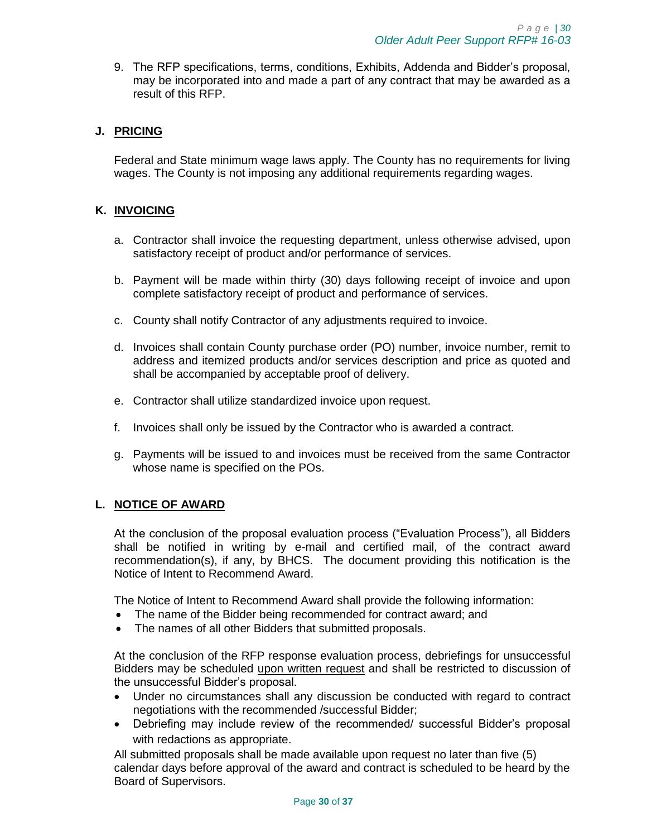9. The RFP specifications, terms, conditions, Exhibits, Addenda and Bidder's proposal, may be incorporated into and made a part of any contract that may be awarded as a result of this RFP.

# <span id="page-29-0"></span>**J. PRICING**

Federal and State minimum wage laws apply. The County has no requirements for living wages. The County is not imposing any additional requirements regarding wages.

#### <span id="page-29-1"></span>**K. INVOICING**

- a. Contractor shall invoice the requesting department, unless otherwise advised, upon satisfactory receipt of product and/or performance of services.
- b. Payment will be made within thirty (30) days following receipt of invoice and upon complete satisfactory receipt of product and performance of services.
- c. County shall notify Contractor of any adjustments required to invoice.
- d. Invoices shall contain County purchase order (PO) number, invoice number, remit to address and itemized products and/or services description and price as quoted and shall be accompanied by acceptable proof of delivery.
- e. Contractor shall utilize standardized invoice upon request.
- f. Invoices shall only be issued by the Contractor who is awarded a contract.
- g. Payments will be issued to and invoices must be received from the same Contractor whose name is specified on the POs.

## <span id="page-29-2"></span>**L. NOTICE OF AWARD**

At the conclusion of the proposal evaluation process ("Evaluation Process"), all Bidders shall be notified in writing by e-mail and certified mail, of the contract award recommendation(s), if any, by BHCS. The document providing this notification is the Notice of Intent to Recommend Award.

The Notice of Intent to Recommend Award shall provide the following information:

- The name of the Bidder being recommended for contract award; and
- The names of all other Bidders that submitted proposals.

At the conclusion of the RFP response evaluation process, debriefings for unsuccessful Bidders may be scheduled upon written request and shall be restricted to discussion of the unsuccessful Bidder's proposal.

- Under no circumstances shall any discussion be conducted with regard to contract negotiations with the recommended /successful Bidder;
- Debriefing may include review of the recommended/ successful Bidder's proposal with redactions as appropriate.

All submitted proposals shall be made available upon request no later than five (5) calendar days before approval of the award and contract is scheduled to be heard by the Board of Supervisors.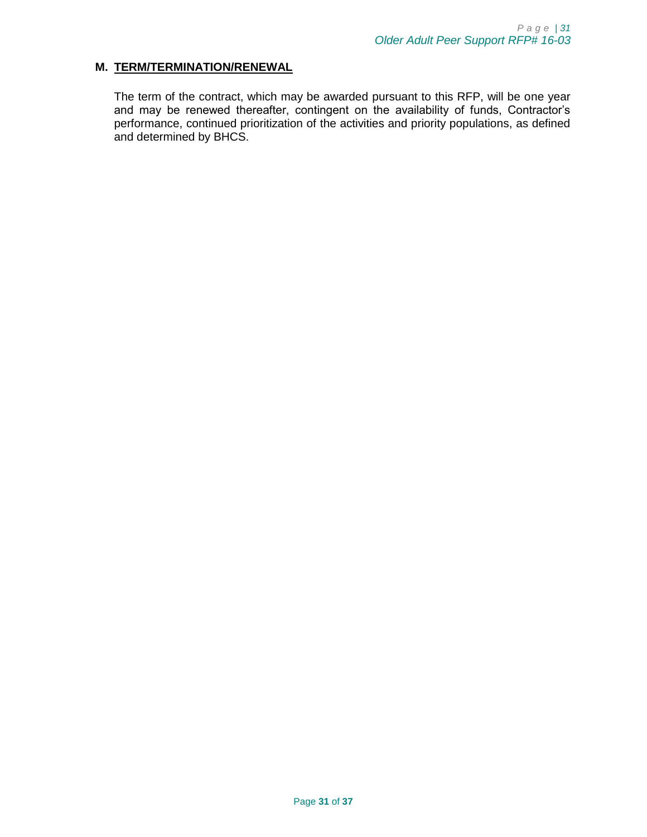#### <span id="page-30-0"></span>**M. TERM/TERMINATION/RENEWAL**

The term of the contract, which may be awarded pursuant to this RFP, will be one year and may be renewed thereafter, contingent on the availability of funds, Contractor's performance, continued prioritization of the activities and priority populations, as defined and determined by BHCS.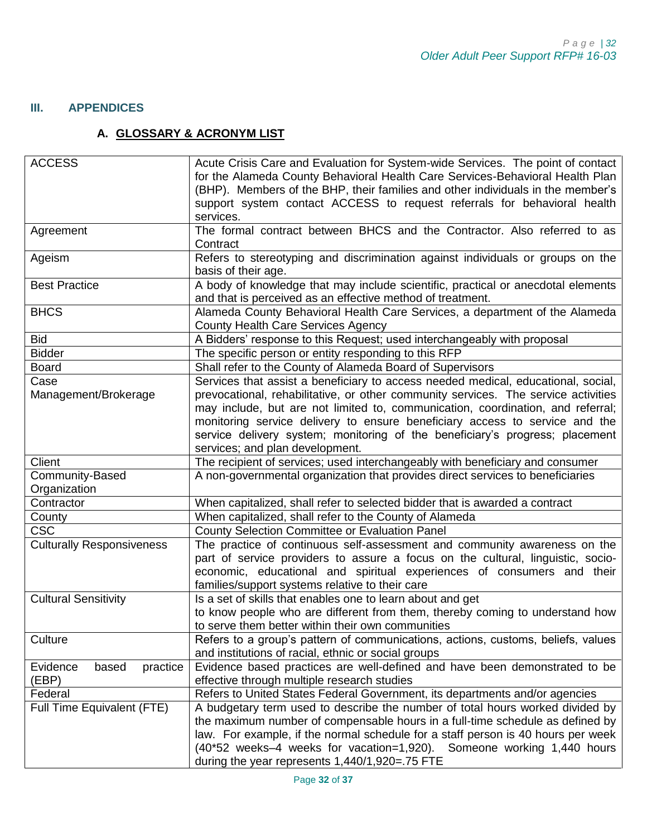# <span id="page-31-1"></span><span id="page-31-0"></span>**III. APPENDICES**

# **A. GLOSSARY & ACRONYM LIST**

| <b>ACCESS</b>                    | Acute Crisis Care and Evaluation for System-wide Services. The point of contact    |  |
|----------------------------------|------------------------------------------------------------------------------------|--|
|                                  | for the Alameda County Behavioral Health Care Services-Behavioral Health Plan      |  |
|                                  | (BHP). Members of the BHP, their families and other individuals in the member's    |  |
|                                  | support system contact ACCESS to request referrals for behavioral health           |  |
|                                  | services.                                                                          |  |
| Agreement                        | The formal contract between BHCS and the Contractor. Also referred to as           |  |
|                                  | Contract                                                                           |  |
| Ageism                           | Refers to stereotyping and discrimination against individuals or groups on the     |  |
|                                  | basis of their age.                                                                |  |
| <b>Best Practice</b>             | A body of knowledge that may include scientific, practical or anecdotal elements   |  |
|                                  | and that is perceived as an effective method of treatment.                         |  |
| <b>BHCS</b>                      | Alameda County Behavioral Health Care Services, a department of the Alameda        |  |
|                                  | County Health Care Services Agency                                                 |  |
| <b>Bid</b>                       | A Bidders' response to this Request; used interchangeably with proposal            |  |
| <b>Bidder</b>                    | The specific person or entity responding to this RFP                               |  |
| <b>Board</b>                     | Shall refer to the County of Alameda Board of Supervisors                          |  |
| Case                             | Services that assist a beneficiary to access needed medical, educational, social,  |  |
| Management/Brokerage             | prevocational, rehabilitative, or other community services. The service activities |  |
|                                  | may include, but are not limited to, communication, coordination, and referral;    |  |
|                                  | monitoring service delivery to ensure beneficiary access to service and the        |  |
|                                  | service delivery system; monitoring of the beneficiary's progress; placement       |  |
|                                  | services; and plan development.                                                    |  |
| Client                           | The recipient of services; used interchangeably with beneficiary and consumer      |  |
| Community-Based                  | A non-governmental organization that provides direct services to beneficiaries     |  |
| Organization                     |                                                                                    |  |
| Contractor                       | When capitalized, shall refer to selected bidder that is awarded a contract        |  |
| County                           | When capitalized, shall refer to the County of Alameda                             |  |
| <b>CSC</b>                       | County Selection Committee or Evaluation Panel                                     |  |
| <b>Culturally Responsiveness</b> | The practice of continuous self-assessment and community awareness on the          |  |
|                                  | part of service providers to assure a focus on the cultural, linguistic, socio-    |  |
|                                  | economic, educational and spiritual experiences of consumers and their             |  |
|                                  | families/support systems relative to their care                                    |  |
| <b>Cultural Sensitivity</b>      | Is a set of skills that enables one to learn about and get                         |  |
|                                  | to know people who are different from them, thereby coming to understand how       |  |
|                                  | to serve them better within their own communities                                  |  |
| Culture                          | Refers to a group's pattern of communications, actions, customs, beliefs, values   |  |
|                                  | and institutions of racial, ethnic or social groups                                |  |
| Evidence<br>based<br>practice    | Evidence based practices are well-defined and have been demonstrated to be         |  |
| (EBP)                            | effective through multiple research studies                                        |  |
| Federal                          | Refers to United States Federal Government, its departments and/or agencies        |  |
| Full Time Equivalent (FTE)       | A budgetary term used to describe the number of total hours worked divided by      |  |
|                                  | the maximum number of compensable hours in a full-time schedule as defined by      |  |
|                                  | law. For example, if the normal schedule for a staff person is 40 hours per week   |  |
|                                  | (40*52 weeks-4 weeks for vacation=1,920). Someone working 1,440 hours              |  |
|                                  | during the year represents 1,440/1,920=.75 FTE                                     |  |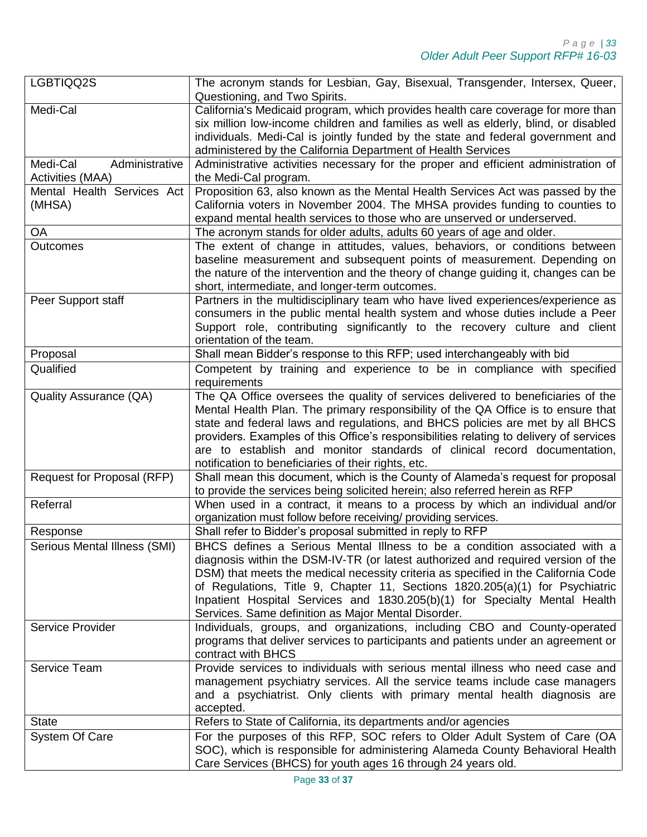| LGBTIQQ2S                                      | The acronym stands for Lesbian, Gay, Bisexual, Transgender, Intersex, Queer,<br>Questioning, and Two Spirits.                                                                                                                                                                                                                                                                                                                                                                       |
|------------------------------------------------|-------------------------------------------------------------------------------------------------------------------------------------------------------------------------------------------------------------------------------------------------------------------------------------------------------------------------------------------------------------------------------------------------------------------------------------------------------------------------------------|
| Medi-Cal                                       | California's Medicaid program, which provides health care coverage for more than<br>six million low-income children and families as well as elderly, blind, or disabled<br>individuals. Medi-Cal is jointly funded by the state and federal government and<br>administered by the California Department of Health Services                                                                                                                                                          |
| Medi-Cal<br>Administrative<br>Activities (MAA) | Administrative activities necessary for the proper and efficient administration of<br>the Medi-Cal program.                                                                                                                                                                                                                                                                                                                                                                         |
| Mental Health Services Act<br>(MHSA)           | Proposition 63, also known as the Mental Health Services Act was passed by the<br>California voters in November 2004. The MHSA provides funding to counties to<br>expand mental health services to those who are unserved or underserved.                                                                                                                                                                                                                                           |
| OA                                             | The acronym stands for older adults, adults 60 years of age and older.                                                                                                                                                                                                                                                                                                                                                                                                              |
| <b>Outcomes</b>                                | The extent of change in attitudes, values, behaviors, or conditions between<br>baseline measurement and subsequent points of measurement. Depending on<br>the nature of the intervention and the theory of change guiding it, changes can be<br>short, intermediate, and longer-term outcomes.                                                                                                                                                                                      |
| Peer Support staff                             | Partners in the multidisciplinary team who have lived experiences/experience as<br>consumers in the public mental health system and whose duties include a Peer<br>Support role, contributing significantly to the recovery culture and client<br>orientation of the team.                                                                                                                                                                                                          |
| Proposal                                       | Shall mean Bidder's response to this RFP; used interchangeably with bid                                                                                                                                                                                                                                                                                                                                                                                                             |
| Qualified                                      | Competent by training and experience to be in compliance with specified<br>requirements                                                                                                                                                                                                                                                                                                                                                                                             |
| <b>Quality Assurance (QA)</b>                  | The QA Office oversees the quality of services delivered to beneficiaries of the<br>Mental Health Plan. The primary responsibility of the QA Office is to ensure that<br>state and federal laws and regulations, and BHCS policies are met by all BHCS<br>providers. Examples of this Office's responsibilities relating to delivery of services<br>are to establish and monitor standards of clinical record documentation,<br>notification to beneficiaries of their rights, etc. |
| Request for Proposal (RFP)                     | Shall mean this document, which is the County of Alameda's request for proposal<br>to provide the services being solicited herein; also referred herein as RFP                                                                                                                                                                                                                                                                                                                      |
| Referral                                       | When used in a contract, it means to a process by which an individual and/or<br>organization must follow before receiving/ providing services.                                                                                                                                                                                                                                                                                                                                      |
| Response                                       | Shall refer to Bidder's proposal submitted in reply to RFP                                                                                                                                                                                                                                                                                                                                                                                                                          |
| Serious Mental Illness (SMI)                   | BHCS defines a Serious Mental Illness to be a condition associated with a<br>diagnosis within the DSM-IV-TR (or latest authorized and required version of the<br>DSM) that meets the medical necessity criteria as specified in the California Code<br>of Regulations, Title 9, Chapter 11, Sections 1820.205(a)(1) for Psychiatric<br>Inpatient Hospital Services and 1830.205(b)(1) for Specialty Mental Health<br>Services. Same definition as Major Mental Disorder.            |
| Service Provider                               | Individuals, groups, and organizations, including CBO and County-operated<br>programs that deliver services to participants and patients under an agreement or<br>contract with BHCS                                                                                                                                                                                                                                                                                                |
| Service Team                                   | Provide services to individuals with serious mental illness who need case and<br>management psychiatry services. All the service teams include case managers<br>and a psychiatrist. Only clients with primary mental health diagnosis are<br>accepted.                                                                                                                                                                                                                              |
| <b>State</b>                                   | Refers to State of California, its departments and/or agencies                                                                                                                                                                                                                                                                                                                                                                                                                      |
| System Of Care                                 | For the purposes of this RFP, SOC refers to Older Adult System of Care (OA<br>SOC), which is responsible for administering Alameda County Behavioral Health<br>Care Services (BHCS) for youth ages 16 through 24 years old.                                                                                                                                                                                                                                                         |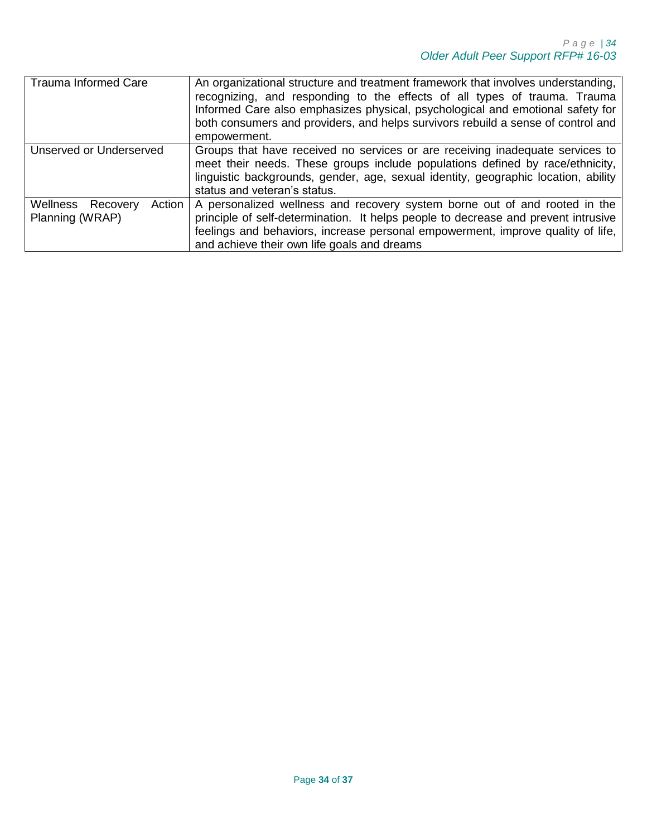| <b>Trauma Informed Care</b>                       | An organizational structure and treatment framework that involves understanding,<br>recognizing, and responding to the effects of all types of trauma. Trauma<br>Informed Care also emphasizes physical, psychological and emotional safety for<br>both consumers and providers, and helps survivors rebuild a sense of control and<br>empowerment. |
|---------------------------------------------------|-----------------------------------------------------------------------------------------------------------------------------------------------------------------------------------------------------------------------------------------------------------------------------------------------------------------------------------------------------|
| Unserved or Underserved                           | Groups that have received no services or are receiving inadequate services to<br>meet their needs. These groups include populations defined by race/ethnicity,<br>linguistic backgrounds, gender, age, sexual identity, geographic location, ability<br>status and veteran's status.                                                                |
| Action<br>Wellness<br>Recovery<br>Planning (WRAP) | A personalized wellness and recovery system borne out of and rooted in the<br>principle of self-determination. It helps people to decrease and prevent intrusive<br>feelings and behaviors, increase personal empowerment, improve quality of life,<br>and achieve their own life goals and dreams                                                  |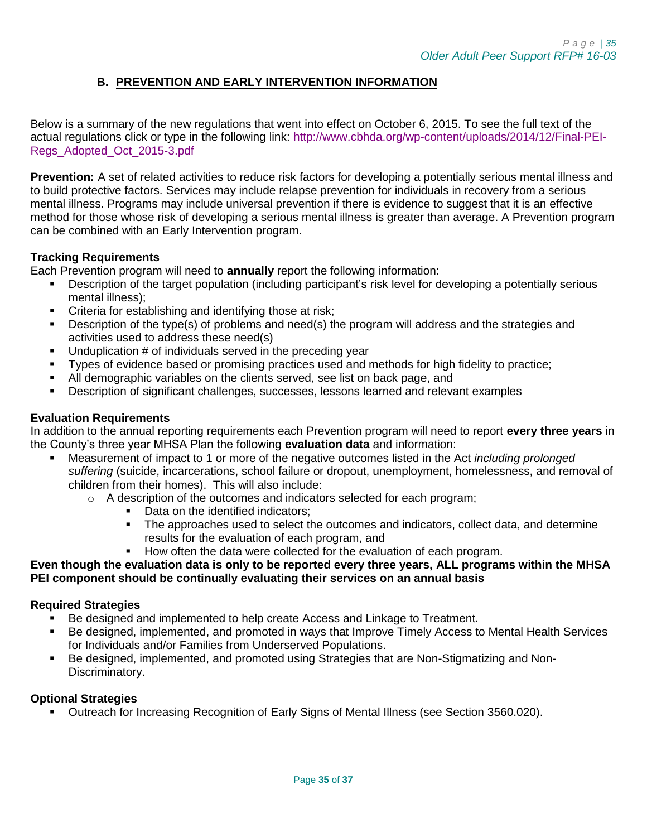# **B. PREVENTION AND EARLY INTERVENTION INFORMATION**

<span id="page-34-0"></span>Below is a summary of the new regulations that went into effect on October 6, 2015. To see the full text of the actual regulations click or type in the following link: [http://www.cbhda.org/wp-content/uploads/2014/12/Final-PEI-](http://www.cbhda.org/wp-content/uploads/2014/12/Final-PEI-Regs_Adopted_Oct_2015-3.pdf)[Regs\\_Adopted\\_Oct\\_2015-3.pdf](http://www.cbhda.org/wp-content/uploads/2014/12/Final-PEI-Regs_Adopted_Oct_2015-3.pdf)

**Prevention:** A set of related activities to reduce risk factors for developing a potentially serious mental illness and to build protective factors. Services may include relapse prevention for individuals in recovery from a serious mental illness. Programs may include universal prevention if there is evidence to suggest that it is an effective method for those whose risk of developing a serious mental illness is greater than average. A Prevention program can be combined with an Early Intervention program.

## **Tracking Requirements**

Each Prevention program will need to **annually** report the following information:

- Description of the target population (including participant's risk level for developing a potentially serious mental illness);
- **•** Criteria for establishing and identifying those at risk;
- Description of the type(s) of problems and need(s) the program will address and the strategies and activities used to address these need(s)
- $\blacksquare$  Unduplication # of individuals served in the preceding year
- Types of evidence based or promising practices used and methods for high fidelity to practice;
- All demographic variables on the clients served, see list on back page, and
- Description of significant challenges, successes, lessons learned and relevant examples

#### **Evaluation Requirements**

In addition to the annual reporting requirements each Prevention program will need to report **every three years** in the County's three year MHSA Plan the following **evaluation data** and information:

- Measurement of impact to 1 or more of the negative outcomes listed in the Act *including prolonged suffering* (suicide, incarcerations, school failure or dropout, unemployment, homelessness, and removal of children from their homes). This will also include:
	- o A description of the outcomes and indicators selected for each program;
		- Data on the identified indicators:
		- The approaches used to select the outcomes and indicators, collect data, and determine results for the evaluation of each program, and
		- **How often the data were collected for the evaluation of each program.**

## **Even though the evaluation data is only to be reported every three years, ALL programs within the MHSA PEI component should be continually evaluating their services on an annual basis**

## **Required Strategies**

- Be designed and implemented to help create Access and Linkage to Treatment.
- Be designed, implemented, and promoted in ways that Improve Timely Access to Mental Health Services for Individuals and/or Families from Underserved Populations.
- Be designed, implemented, and promoted using Strategies that are Non-Stigmatizing and Non-Discriminatory.

#### **Optional Strategies**

Outreach for Increasing Recognition of Early Signs of Mental Illness (see Section 3560.020).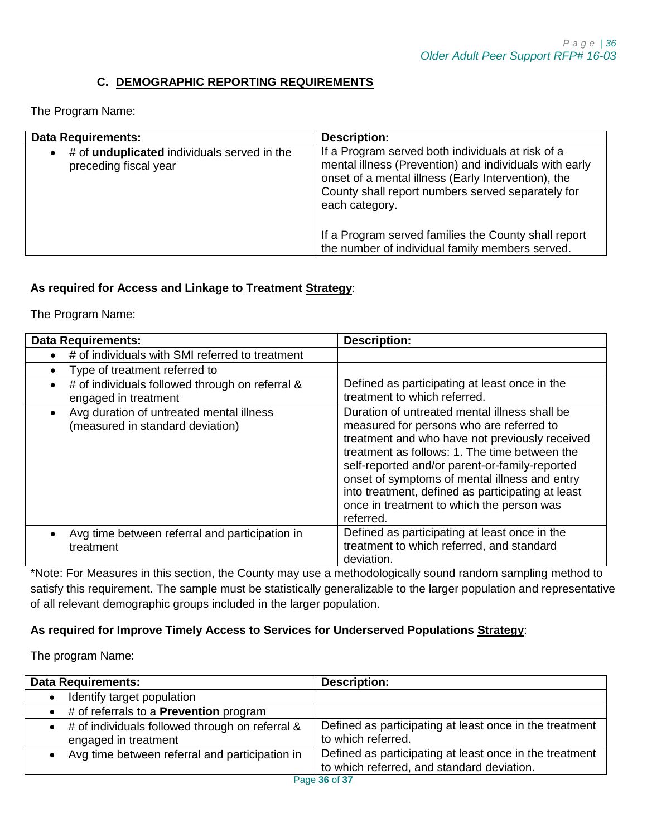# **C. DEMOGRAPHIC REPORTING REQUIREMENTS**

<span id="page-35-0"></span>The Program Name:

| <b>Data Requirements:</b>                                                                | <b>Description:</b>                                                                                                                                                                                                                       |
|------------------------------------------------------------------------------------------|-------------------------------------------------------------------------------------------------------------------------------------------------------------------------------------------------------------------------------------------|
| # of <b>unduplicated</b> individuals served in the<br>$\bullet$<br>preceding fiscal year | If a Program served both individuals at risk of a<br>mental illness (Prevention) and individuals with early<br>onset of a mental illness (Early Intervention), the<br>County shall report numbers served separately for<br>each category. |
|                                                                                          | If a Program served families the County shall report<br>the number of individual family members served.                                                                                                                                   |

# **As required for Access and Linkage to Treatment Strategy**:

The Program Name:

| <b>Data Requirements:</b>                                                                 | <b>Description:</b>                                                                                                                                                                                                                                                                                                                                                                                            |
|-------------------------------------------------------------------------------------------|----------------------------------------------------------------------------------------------------------------------------------------------------------------------------------------------------------------------------------------------------------------------------------------------------------------------------------------------------------------------------------------------------------------|
| # of individuals with SMI referred to treatment<br>$\bullet$                              |                                                                                                                                                                                                                                                                                                                                                                                                                |
| Type of treatment referred to<br>$\bullet$                                                |                                                                                                                                                                                                                                                                                                                                                                                                                |
| # of individuals followed through on referral &<br>$\bullet$<br>engaged in treatment      | Defined as participating at least once in the<br>treatment to which referred.                                                                                                                                                                                                                                                                                                                                  |
| Avg duration of untreated mental illness<br>$\bullet$<br>(measured in standard deviation) | Duration of untreated mental illness shall be<br>measured for persons who are referred to<br>treatment and who have not previously received<br>treatment as follows: 1. The time between the<br>self-reported and/or parent-or-family-reported<br>onset of symptoms of mental illness and entry<br>into treatment, defined as participating at least<br>once in treatment to which the person was<br>referred. |
| Avg time between referral and participation in<br>treatment                               | Defined as participating at least once in the<br>treatment to which referred, and standard<br>deviation.                                                                                                                                                                                                                                                                                                       |

\*Note: For Measures in this section, the County may use a methodologically sound random sampling method to satisfy this requirement. The sample must be statistically generalizable to the larger population and representative of all relevant demographic groups included in the larger population.

## **As required for Improve Timely Access to Services for Underserved Populations Strategy**:

The program Name:

| <b>Data Requirements:</b>                                                 | <b>Description:</b>                                                                                   |
|---------------------------------------------------------------------------|-------------------------------------------------------------------------------------------------------|
| Identify target population                                                |                                                                                                       |
| $\bullet$ # of referrals to a <b>Prevention</b> program                   |                                                                                                       |
| • # of individuals followed through on referral &<br>engaged in treatment | Defined as participating at least once in the treatment<br>to which referred.                         |
| Avg time between referral and participation in                            | Defined as participating at least once in the treatment<br>to which referred, and standard deviation. |